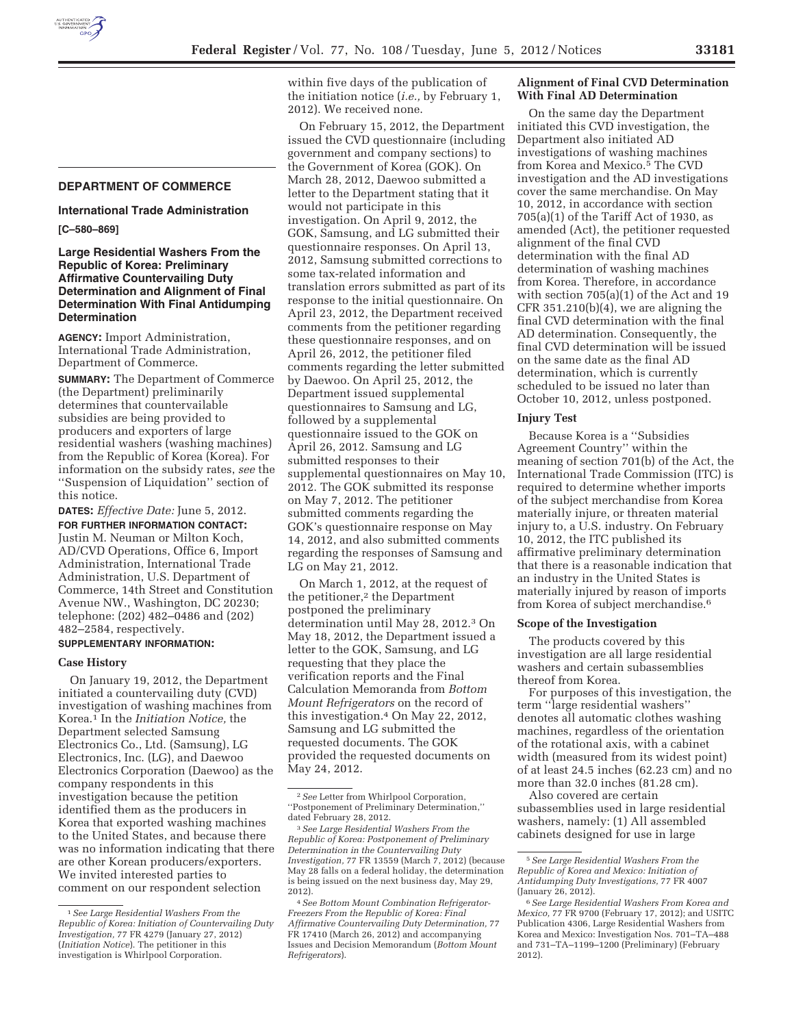## **DEPARTMENT OF COMMERCE**

# **International Trade Administration**

**[C–580–869]** 

### **Large Residential Washers From the Republic of Korea: Preliminary Affirmative Countervailing Duty Determination and Alignment of Final Determination With Final Antidumping Determination**

**AGENCY:** Import Administration, International Trade Administration, Department of Commerce.

**SUMMARY:** The Department of Commerce (the Department) preliminarily determines that countervailable subsidies are being provided to producers and exporters of large residential washers (washing machines) from the Republic of Korea (Korea). For information on the subsidy rates, *see* the ''Suspension of Liquidation'' section of this notice.

**DATES:** *Effective Date:* June 5, 2012. **FOR FURTHER INFORMATION CONTACT:**  Justin M. Neuman or Milton Koch, AD/CVD Operations, Office 6, Import Administration, International Trade Administration, U.S. Department of Commerce, 14th Street and Constitution Avenue NW., Washington, DC 20230; telephone: (202) 482–0486 and (202) 482–2584, respectively.

# **SUPPLEMENTARY INFORMATION:**

### **Case History**

On January 19, 2012, the Department initiated a countervailing duty (CVD) investigation of washing machines from Korea.1 In the *Initiation Notice,* the Department selected Samsung Electronics Co., Ltd. (Samsung), LG Electronics, Inc. (LG), and Daewoo Electronics Corporation (Daewoo) as the company respondents in this investigation because the petition identified them as the producers in Korea that exported washing machines to the United States, and because there was no information indicating that there are other Korean producers/exporters. We invited interested parties to comment on our respondent selection

within five days of the publication of the initiation notice (*i.e.,* by February 1, 2012). We received none.

On February 15, 2012, the Department issued the CVD questionnaire (including government and company sections) to the Government of Korea (GOK). On March 28, 2012, Daewoo submitted a letter to the Department stating that it would not participate in this investigation. On April 9, 2012, the GOK, Samsung, and LG submitted their questionnaire responses. On April 13, 2012, Samsung submitted corrections to some tax-related information and translation errors submitted as part of its response to the initial questionnaire. On April 23, 2012, the Department received comments from the petitioner regarding these questionnaire responses, and on April 26, 2012, the petitioner filed comments regarding the letter submitted by Daewoo. On April 25, 2012, the Department issued supplemental questionnaires to Samsung and LG, followed by a supplemental questionnaire issued to the GOK on April 26, 2012. Samsung and LG submitted responses to their supplemental questionnaires on May 10, 2012. The GOK submitted its response on May 7, 2012. The petitioner submitted comments regarding the GOK's questionnaire response on May 14, 2012, and also submitted comments regarding the responses of Samsung and LG on May 21, 2012.

On March 1, 2012, at the request of the petitioner,<sup>2</sup> the Department postponed the preliminary determination until May 28, 2012.3 On May 18, 2012, the Department issued a letter to the GOK, Samsung, and LG requesting that they place the verification reports and the Final Calculation Memoranda from *Bottom Mount Refrigerators* on the record of this investigation.4 On May 22, 2012, Samsung and LG submitted the requested documents. The GOK provided the requested documents on May 24, 2012.

### **Alignment of Final CVD Determination With Final AD Determination**

On the same day the Department initiated this CVD investigation, the Department also initiated AD investigations of washing machines from Korea and Mexico.5 The CVD investigation and the AD investigations cover the same merchandise. On May 10, 2012, in accordance with section 705(a)(1) of the Tariff Act of 1930, as amended (Act), the petitioner requested alignment of the final CVD determination with the final AD determination of washing machines from Korea. Therefore, in accordance with section 705(a)(1) of the Act and 19 CFR 351.210(b)(4), we are aligning the final CVD determination with the final AD determination. Consequently, the final CVD determination will be issued on the same date as the final AD determination, which is currently scheduled to be issued no later than October 10, 2012, unless postponed.

#### **Injury Test**

Because Korea is a ''Subsidies Agreement Country'' within the meaning of section 701(b) of the Act, the International Trade Commission (ITC) is required to determine whether imports of the subject merchandise from Korea materially injure, or threaten material injury to, a U.S. industry. On February 10, 2012, the ITC published its affirmative preliminary determination that there is a reasonable indication that an industry in the United States is materially injured by reason of imports from Korea of subject merchandise.6

#### **Scope of the Investigation**

The products covered by this investigation are all large residential washers and certain subassemblies thereof from Korea.

For purposes of this investigation, the term ''large residential washers'' denotes all automatic clothes washing machines, regardless of the orientation of the rotational axis, with a cabinet width (measured from its widest point) of at least 24.5 inches (62.23 cm) and no more than 32.0 inches (81.28 cm).

Also covered are certain subassemblies used in large residential washers, namely: (1) All assembled cabinets designed for use in large

<sup>1</sup>*See Large Residential Washers From the Republic of Korea: Initiation of Countervailing Duty Investigation,* 77 FR 4279 (January 27, 2012) (*Initiation Notice*). The petitioner in this investigation is Whirlpool Corporation.

<sup>2</sup>*See* Letter from Whirlpool Corporation, ''Postponement of Preliminary Determination,'' dated February 28, 2012.

<sup>3</sup>*See Large Residential Washers From the Republic of Korea: Postponement of Preliminary Determination in the Countervailing Duty Investigation,* 77 FR 13559 (March 7, 2012) (because May 28 falls on a federal holiday, the determination is being issued on the next business day, May 29, 2012).

<sup>4</sup>*See Bottom Mount Combination Refrigerator-Freezers From the Republic of Korea: Final Affirmative Countervailing Duty Determination,* 77 FR 17410 (March 26, 2012) and accompanying Issues and Decision Memorandum (*Bottom Mount Refrigerators*).

<sup>5</sup>*See Large Residential Washers From the Republic of Korea and Mexico: Initiation of Antidumping Duty Investigations,* 77 FR 4007 (January 26, 2012).

<sup>6</sup>*See Large Residential Washers From Korea and Mexico,* 77 FR 9700 (February 17, 2012); and USITC Publication 4306, Large Residential Washers from Korea and Mexico: Investigation Nos. 701–TA–488 and 731–TA–1199–1200 (Preliminary) (February 2012).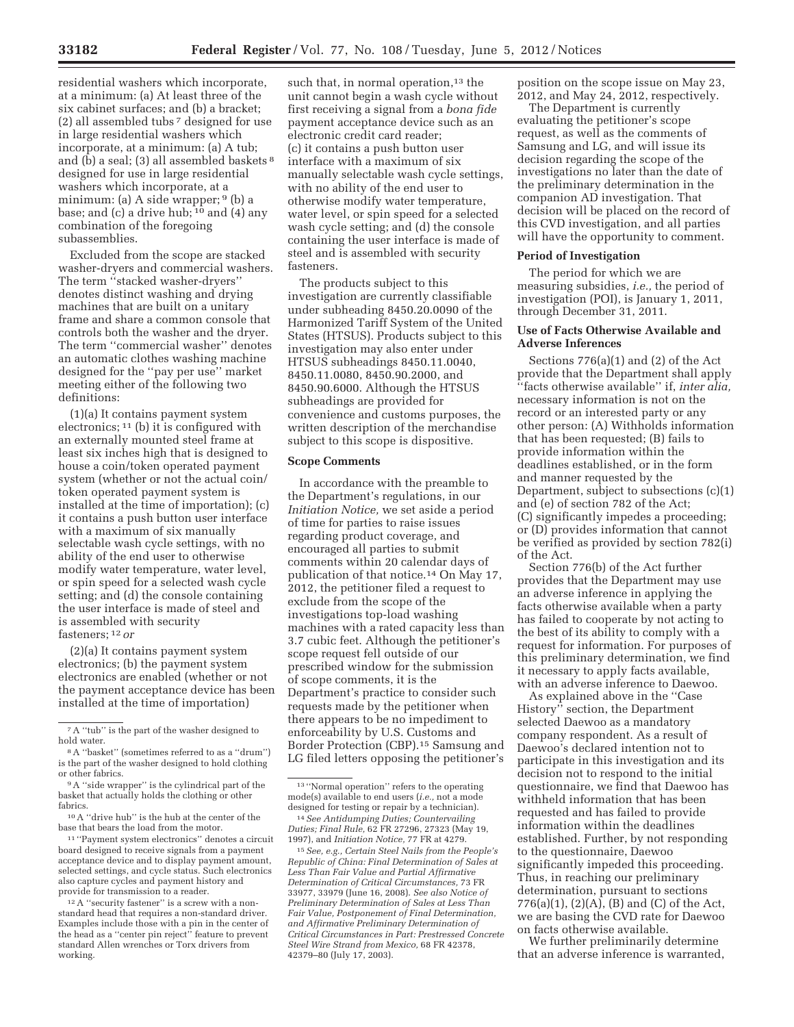residential washers which incorporate, at a minimum: (a) At least three of the six cabinet surfaces; and (b) a bracket; (2) all assembled tubs 7 designed for use in large residential washers which incorporate, at a minimum: (a) A tub; and (b) a seal; (3) all assembled baskets 8 designed for use in large residential washers which incorporate, at a minimum: (a) A side wrapper; <sup>9</sup> (b) a base; and (c) a drive hub;  $10$  and (4) any combination of the foregoing subassemblies.

Excluded from the scope are stacked washer-dryers and commercial washers. The term ''stacked washer-dryers'' denotes distinct washing and drying machines that are built on a unitary frame and share a common console that controls both the washer and the dryer. The term ''commercial washer'' denotes an automatic clothes washing machine designed for the ''pay per use'' market meeting either of the following two definitions:

(1)(a) It contains payment system electronics; 11 (b) it is configured with an externally mounted steel frame at least six inches high that is designed to house a coin/token operated payment system (whether or not the actual coin/ token operated payment system is installed at the time of importation); (c) it contains a push button user interface with a maximum of six manually selectable wash cycle settings, with no ability of the end user to otherwise modify water temperature, water level, or spin speed for a selected wash cycle setting; and (d) the console containing the user interface is made of steel and is assembled with security fasteners; 12 *or* 

(2)(a) It contains payment system electronics; (b) the payment system electronics are enabled (whether or not the payment acceptance device has been installed at the time of importation)

11 ''Payment system electronics'' denotes a circuit board designed to receive signals from a payment acceptance device and to display payment amount, selected settings, and cycle status. Such electronics also capture cycles and payment history and provide for transmission to a reader.

12A ''security fastener'' is a screw with a nonstandard head that requires a non-standard driver. Examples include those with a pin in the center of the head as a ''center pin reject'' feature to prevent standard Allen wrenches or Torx drivers from working.

such that, in normal operation, $13$  the unit cannot begin a wash cycle without first receiving a signal from a *bona fide*  payment acceptance device such as an electronic credit card reader; (c) it contains a push button user interface with a maximum of six manually selectable wash cycle settings, with no ability of the end user to otherwise modify water temperature, water level, or spin speed for a selected wash cycle setting; and (d) the console containing the user interface is made of steel and is assembled with security fasteners.

The products subject to this investigation are currently classifiable under subheading 8450.20.0090 of the Harmonized Tariff System of the United States (HTSUS). Products subject to this investigation may also enter under HTSUS subheadings 8450.11.0040, 8450.11.0080, 8450.90.2000, and 8450.90.6000. Although the HTSUS subheadings are provided for convenience and customs purposes, the written description of the merchandise subject to this scope is dispositive.

### **Scope Comments**

In accordance with the preamble to the Department's regulations, in our *Initiation Notice,* we set aside a period of time for parties to raise issues regarding product coverage, and encouraged all parties to submit comments within 20 calendar days of publication of that notice.14 On May 17, 2012, the petitioner filed a request to exclude from the scope of the investigations top-load washing machines with a rated capacity less than 3.7 cubic feet. Although the petitioner's scope request fell outside of our prescribed window for the submission of scope comments, it is the Department's practice to consider such requests made by the petitioner when there appears to be no impediment to enforceability by U.S. Customs and Border Protection (CBP).15 Samsung and LG filed letters opposing the petitioner's position on the scope issue on May 23, 2012, and May 24, 2012, respectively.

The Department is currently evaluating the petitioner's scope request, as well as the comments of Samsung and LG, and will issue its decision regarding the scope of the investigations no later than the date of the preliminary determination in the companion AD investigation. That decision will be placed on the record of this CVD investigation, and all parties will have the opportunity to comment.

### **Period of Investigation**

The period for which we are measuring subsidies, *i.e.,* the period of investigation (POI), is January 1, 2011, through December 31, 2011.

# **Use of Facts Otherwise Available and Adverse Inferences**

Sections 776(a)(1) and (2) of the Act provide that the Department shall apply ''facts otherwise available'' if, *inter alia,*  necessary information is not on the record or an interested party or any other person: (A) Withholds information that has been requested; (B) fails to provide information within the deadlines established, or in the form and manner requested by the Department, subject to subsections (c)(1) and (e) of section 782 of the Act; (C) significantly impedes a proceeding; or (D) provides information that cannot be verified as provided by section 782(i) of the Act.

Section 776(b) of the Act further provides that the Department may use an adverse inference in applying the facts otherwise available when a party has failed to cooperate by not acting to the best of its ability to comply with a request for information. For purposes of this preliminary determination, we find it necessary to apply facts available, with an adverse inference to Daewoo.

As explained above in the ''Case History'' section, the Department selected Daewoo as a mandatory company respondent. As a result of Daewoo's declared intention not to participate in this investigation and its decision not to respond to the initial questionnaire, we find that Daewoo has withheld information that has been requested and has failed to provide information within the deadlines established. Further, by not responding to the questionnaire, Daewoo significantly impeded this proceeding. Thus, in reaching our preliminary determination, pursuant to sections 776(a)(1),  $(2)(A)$ ,  $(B)$  and  $(C)$  of the Act, we are basing the CVD rate for Daewoo on facts otherwise available.

We further preliminarily determine that an adverse inference is warranted,

 $^7\mathrm{A}$  ''tub'' is the part of the washer designed to hold water.

<sup>8</sup>A ''basket'' (sometimes referred to as a ''drum'') is the part of the washer designed to hold clothing or other fabrics.

<sup>&</sup>lt;sup>9</sup>A "side wrapper" is the cylindrical part of the basket that actually holds the clothing or other fabrics.

<sup>10</sup>A ''drive hub'' is the hub at the center of the base that bears the load from the motor.

<sup>13</sup> ''Normal operation'' refers to the operating mode(s) available to end users (*i.e.,* not a mode designed for testing or repair by a technician).

<sup>14</sup>*See Antidumping Duties; Countervailing Duties; Final Rule,* 62 FR 27296, 27323 (May 19, 1997), and *Initiation Notice,* 77 FR at 4279.

<sup>15</sup>*See, e.g., Certain Steel Nails from the People's Republic of China: Final Determination of Sales at Less Than Fair Value and Partial Affirmative Determination of Critical Circumstances,* 73 FR 33977, 33979 (June 16, 2008). *See also Notice of Preliminary Determination of Sales at Less Than Fair Value, Postponement of Final Determination, and Affirmative Preliminary Determination of Critical Circumstances in Part: Prestressed Concrete Steel Wire Strand from Mexico,* 68 FR 42378, 42379–80 (July 17, 2003).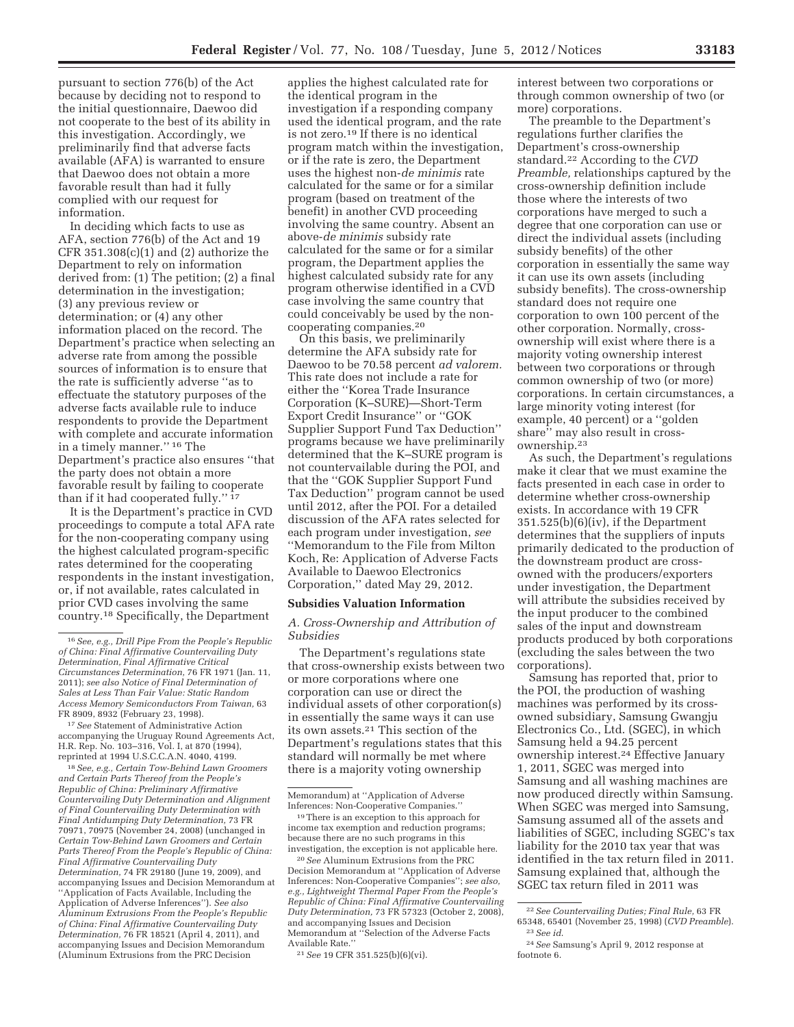pursuant to section 776(b) of the Act because by deciding not to respond to the initial questionnaire, Daewoo did not cooperate to the best of its ability in this investigation. Accordingly, we preliminarily find that adverse facts available (AFA) is warranted to ensure that Daewoo does not obtain a more favorable result than had it fully complied with our request for information.

In deciding which facts to use as AFA, section 776(b) of the Act and 19 CFR  $351.308(c)(1)$  and  $(2)$  authorize the Department to rely on information derived from: (1) The petition; (2) a final determination in the investigation; (3) any previous review or determination; or (4) any other information placed on the record. The Department's practice when selecting an adverse rate from among the possible sources of information is to ensure that the rate is sufficiently adverse ''as to effectuate the statutory purposes of the adverse facts available rule to induce respondents to provide the Department with complete and accurate information in a timely manner.'' 16 The Department's practice also ensures ''that the party does not obtain a more favorable result by failing to cooperate than if it had cooperated fully.'' 17

It is the Department's practice in CVD proceedings to compute a total AFA rate for the non-cooperating company using the highest calculated program-specific rates determined for the cooperating respondents in the instant investigation, or, if not available, rates calculated in prior CVD cases involving the same country.18 Specifically, the Department

17*See* Statement of Administrative Action accompanying the Uruguay Round Agreements Act, H.R. Rep. No. 103–316, Vol. I, at 870 (1994), reprinted at 1994 U.S.C.C.A.N. 4040, 4199.

18*See, e.g., Certain Tow-Behind Lawn Groomers and Certain Parts Thereof from the People's Republic of China: Preliminary Affirmative Countervailing Duty Determination and Alignment of Final Countervailing Duty Determination with Final Antidumping Duty Determination,* 73 FR 70971, 70975 (November 24, 2008) (unchanged in *Certain Tow-Behind Lawn Groomers and Certain Parts Thereof From the People's Republic of China: Final Affirmative Countervailing Duty Determination,* 74 FR 29180 (June 19, 2009), and accompanying Issues and Decision Memorandum at ''Application of Facts Available, Including the Application of Adverse Inferences''). *See also Aluminum Extrusions From the People's Republic of China: Final Affirmative Countervailing Duty Determination,* 76 FR 18521 (April 4, 2011), and accompanying Issues and Decision Memorandum (Aluminum Extrusions from the PRC Decision

applies the highest calculated rate for the identical program in the investigation if a responding company used the identical program, and the rate is not zero.19 If there is no identical program match within the investigation, or if the rate is zero, the Department uses the highest non-*de minimis* rate calculated for the same or for a similar program (based on treatment of the benefit) in another CVD proceeding involving the same country. Absent an above-*de minimis* subsidy rate calculated for the same or for a similar program, the Department applies the highest calculated subsidy rate for any program otherwise identified in a CVD case involving the same country that could conceivably be used by the noncooperating companies.20

On this basis, we preliminarily determine the AFA subsidy rate for Daewoo to be 70.58 percent *ad valorem.*  This rate does not include a rate for either the ''Korea Trade Insurance Corporation (K–SURE)—Short-Term Export Credit Insurance'' or ''GOK Supplier Support Fund Tax Deduction'' programs because we have preliminarily determined that the K–SURE program is not countervailable during the POI, and that the ''GOK Supplier Support Fund Tax Deduction'' program cannot be used until 2012, after the POI. For a detailed discussion of the AFA rates selected for each program under investigation, *see*  ''Memorandum to the File from Milton Koch, Re: Application of Adverse Facts Available to Daewoo Electronics Corporation,'' dated May 29, 2012.

#### **Subsidies Valuation Information**

*A. Cross-Ownership and Attribution of Subsidies* 

The Department's regulations state that cross-ownership exists between two or more corporations where one corporation can use or direct the individual assets of other corporation(s) in essentially the same ways it can use its own assets.21 This section of the Department's regulations states that this standard will normally be met where there is a majority voting ownership

interest between two corporations or through common ownership of two (or more) corporations.

The preamble to the Department's regulations further clarifies the Department's cross-ownership standard.22 According to the *CVD Preamble,* relationships captured by the cross-ownership definition include those where the interests of two corporations have merged to such a degree that one corporation can use or direct the individual assets (including subsidy benefits) of the other corporation in essentially the same way it can use its own assets (including subsidy benefits). The cross-ownership standard does not require one corporation to own 100 percent of the other corporation. Normally, crossownership will exist where there is a majority voting ownership interest between two corporations or through common ownership of two (or more) corporations. In certain circumstances, a large minority voting interest (for example, 40 percent) or a ''golden share'' may also result in crossownership.23

As such, the Department's regulations make it clear that we must examine the facts presented in each case in order to determine whether cross-ownership exists. In accordance with 19 CFR 351.525(b)(6)(iv), if the Department determines that the suppliers of inputs primarily dedicated to the production of the downstream product are crossowned with the producers/exporters under investigation, the Department will attribute the subsidies received by the input producer to the combined sales of the input and downstream products produced by both corporations (excluding the sales between the two corporations).

Samsung has reported that, prior to the POI, the production of washing machines was performed by its crossowned subsidiary, Samsung Gwangju Electronics Co., Ltd. (SGEC), in which Samsung held a 94.25 percent ownership interest.24 Effective January 1, 2011, SGEC was merged into Samsung and all washing machines are now produced directly within Samsung. When SGEC was merged into Samsung, Samsung assumed all of the assets and liabilities of SGEC, including SGEC's tax liability for the 2010 tax year that was identified in the tax return filed in 2011. Samsung explained that, although the SGEC tax return filed in 2011 was

<sup>16</sup>*See, e.g., Drill Pipe From the People's Republic of China: Final Affirmative Countervailing Duty Determination, Final Affirmative Critical Circumstances Determination,* 76 FR 1971 (Jan. 11, 2011); *see also Notice of Final Determination of Sales at Less Than Fair Value: Static Random Access Memory Semiconductors From Taiwan,* 63 FR 8909, 8932 (February 23, 1998).

Memorandum) at ''Application of Adverse Inferences: Non-Cooperative Companies.''

<sup>19</sup>There is an exception to this approach for income tax exemption and reduction programs; because there are no such programs in this investigation, the exception is not applicable here.

<sup>20</sup>*See* Aluminum Extrusions from the PRC Decision Memorandum at ''Application of Adverse Inferences: Non-Cooperative Companies''; *see also, e.g., Lightweight Thermal Paper From the People's Republic of China: Final Affirmative Countervailing Duty Determination,* 73 FR 57323 (October 2, 2008), and accompanying Issues and Decision Memorandum at ''Selection of the Adverse Facts Available Rate.''

<sup>21</sup>*See* 19 CFR 351.525(b)(6)(vi).

<sup>22</sup>*See Countervailing Duties; Final Rule,* 63 FR 65348, 65401 (November 25, 1998) (*CVD Preamble*). 23*See id*.

<sup>24</sup>*See* Samsung's April 9, 2012 response at footnote 6.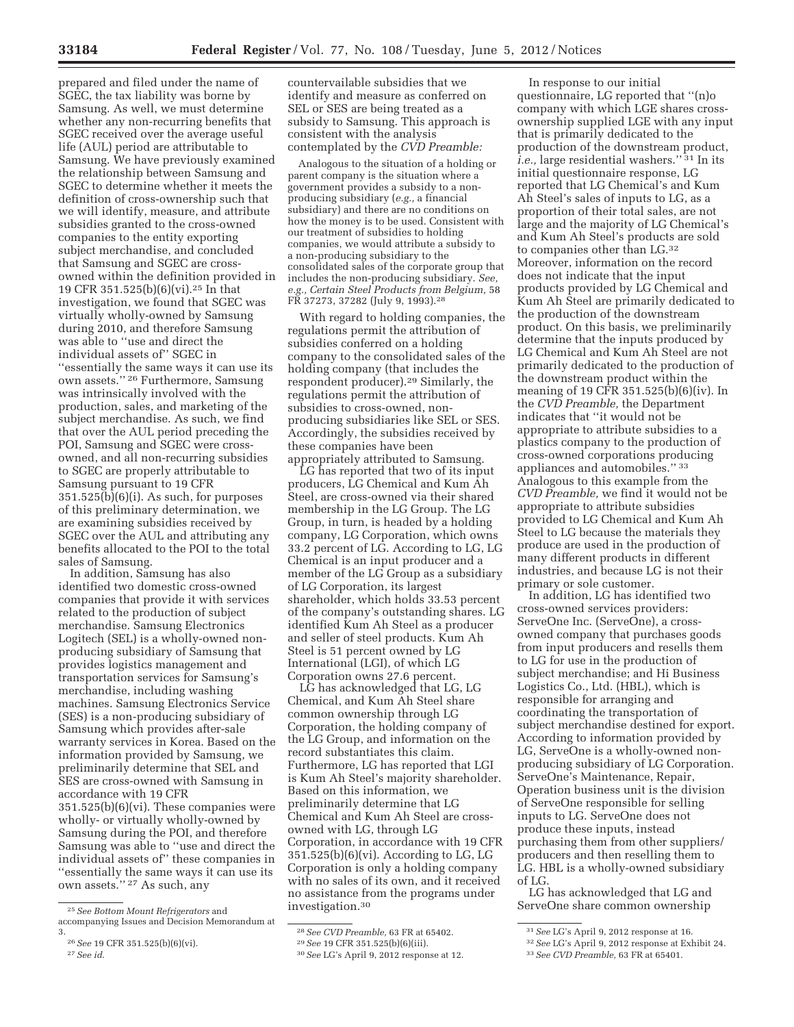prepared and filed under the name of SGEC, the tax liability was borne by Samsung. As well, we must determine whether any non-recurring benefits that SGEC received over the average useful life (AUL) period are attributable to Samsung. We have previously examined the relationship between Samsung and SGEC to determine whether it meets the definition of cross-ownership such that we will identify, measure, and attribute subsidies granted to the cross-owned companies to the entity exporting subject merchandise, and concluded that Samsung and SGEC are crossowned within the definition provided in 19 CFR 351.525(b)(6)(vi).25 In that investigation, we found that SGEC was virtually wholly-owned by Samsung during 2010, and therefore Samsung was able to ''use and direct the individual assets of'' SGEC in ''essentially the same ways it can use its own assets.'' 26 Furthermore, Samsung was intrinsically involved with the production, sales, and marketing of the subject merchandise. As such, we find that over the AUL period preceding the POI, Samsung and SGEC were crossowned, and all non-recurring subsidies to SGEC are properly attributable to Samsung pursuant to 19 CFR 351.525(b)(6)(i). As such, for purposes of this preliminary determination, we are examining subsidies received by SGEC over the AUL and attributing any benefits allocated to the POI to the total sales of Samsung.

In addition, Samsung has also identified two domestic cross-owned companies that provide it with services related to the production of subject merchandise. Samsung Electronics Logitech (SEL) is a wholly-owned nonproducing subsidiary of Samsung that provides logistics management and transportation services for Samsung's merchandise, including washing machines. Samsung Electronics Service (SES) is a non-producing subsidiary of Samsung which provides after-sale warranty services in Korea. Based on the information provided by Samsung, we preliminarily determine that SEL and SES are cross-owned with Samsung in accordance with 19 CFR 351.525(b)(6)(vi). These companies were wholly- or virtually wholly-owned by Samsung during the POI, and therefore Samsung was able to ''use and direct the individual assets of'' these companies in ''essentially the same ways it can use its own assets.'' 27 As such, any

Analogous to the situation of a holding or parent company is the situation where a government provides a subsidy to a nonproducing subsidiary (*e.g.,* a financial subsidiary) and there are no conditions on how the money is to be used. Consistent with our treatment of subsidies to holding companies, we would attribute a subsidy to a non-producing subsidiary to the consolidated sales of the corporate group that includes the non-producing subsidiary. *See, e.g., Certain Steel Products from Belgium,* 58 FR 37273, 37282 (July 9, 1993).28

With regard to holding companies, the regulations permit the attribution of subsidies conferred on a holding company to the consolidated sales of the holding company (that includes the respondent producer).29 Similarly, the regulations permit the attribution of subsidies to cross-owned, nonproducing subsidiaries like SEL or SES. Accordingly, the subsidies received by these companies have been appropriately attributed to Samsung.

LG has reported that two of its input producers, LG Chemical and Kum Ah Steel, are cross-owned via their shared membership in the LG Group. The LG Group, in turn, is headed by a holding company, LG Corporation, which owns 33.2 percent of LG. According to LG, LG Chemical is an input producer and a member of the LG Group as a subsidiary of LG Corporation, its largest shareholder, which holds 33.53 percent of the company's outstanding shares. LG identified Kum Ah Steel as a producer and seller of steel products. Kum Ah Steel is 51 percent owned by LG International (LGI), of which LG Corporation owns 27.6 percent.

LG has acknowledged that LG, LG Chemical, and Kum Ah Steel share common ownership through LG Corporation, the holding company of the LG Group, and information on the record substantiates this claim. Furthermore, LG has reported that LGI is Kum Ah Steel's majority shareholder. Based on this information, we preliminarily determine that LG Chemical and Kum Ah Steel are crossowned with LG, through LG Corporation, in accordance with 19 CFR 351.525(b)(6)(vi). According to LG, LG Corporation is only a holding company with no sales of its own, and it received no assistance from the programs under investigation.30

In response to our initial questionnaire, LG reported that ''(n)o company with which LGE shares crossownership supplied LGE with any input that is primarily dedicated to the production of the downstream product, *i.e.,* large residential washers.'' 31 In its initial questionnaire response, LG reported that LG Chemical's and Kum Ah Steel's sales of inputs to LG, as a proportion of their total sales, are not large and the majority of LG Chemical's and Kum Ah Steel's products are sold to companies other than LG.32 Moreover, information on the record does not indicate that the input products provided by LG Chemical and Kum Ah Steel are primarily dedicated to the production of the downstream product. On this basis, we preliminarily determine that the inputs produced by LG Chemical and Kum Ah Steel are not primarily dedicated to the production of the downstream product within the meaning of 19 CFR 351.525(b)(6)(iv). In the *CVD Preamble,* the Department indicates that ''it would not be appropriate to attribute subsidies to a plastics company to the production of cross-owned corporations producing appliances and automobiles.'' 33 Analogous to this example from the *CVD Preamble,* we find it would not be appropriate to attribute subsidies provided to LG Chemical and Kum Ah Steel to LG because the materials they produce are used in the production of many different products in different industries, and because LG is not their primary or sole customer.

In addition, LG has identified two cross-owned services providers: ServeOne Inc. (ServeOne), a crossowned company that purchases goods from input producers and resells them to LG for use in the production of subject merchandise; and Hi Business Logistics Co., Ltd. (HBL), which is responsible for arranging and coordinating the transportation of subject merchandise destined for export. According to information provided by LG, ServeOne is a wholly-owned nonproducing subsidiary of LG Corporation. ServeOne's Maintenance, Repair, Operation business unit is the division of ServeOne responsible for selling inputs to LG. ServeOne does not produce these inputs, instead purchasing them from other suppliers/ producers and then reselling them to LG. HBL is a wholly-owned subsidiary of LG.

LG has acknowledged that LG and ServeOne share common ownership

<sup>25</sup>*See Bottom Mount Refrigerators* and accompanying Issues and Decision Memorandum at 3.

<sup>26</sup>*See* 19 CFR 351.525(b)(6)(vi). 27*See id*.

countervailable subsidies that we identify and measure as conferred on SEL or SES are being treated as a subsidy to Samsung. This approach is consistent with the analysis contemplated by the *CVD Preamble:* 

<sup>28</sup>*See CVD Preamble,* 63 FR at 65402. 29*See* 19 CFR 351.525(b)(6)(iii). 30*See* LG's April 9, 2012 response at 12.

<sup>31</sup>*See* LG's April 9, 2012 response at 16. 32*See* LG's April 9, 2012 response at Exhibit 24.

<sup>33</sup>*See CVD Preamble,* 63 FR at 65401.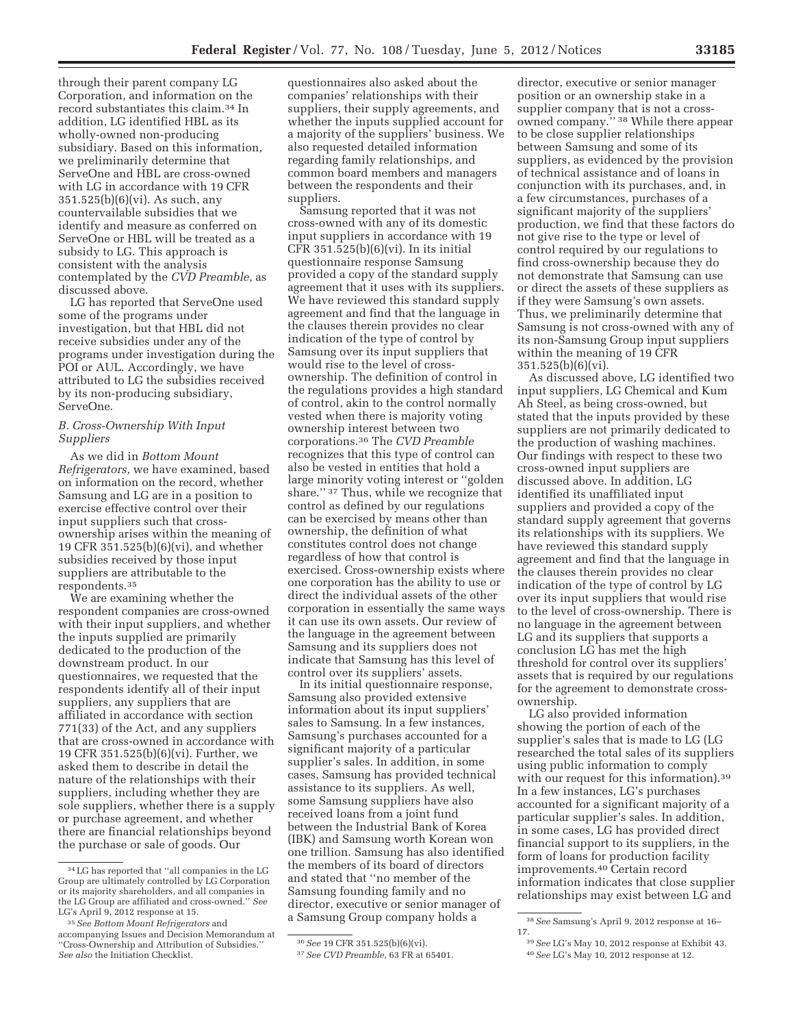through their parent company LG Corporation, and information on the record substantiates this claim.34 In addition, LG identified HBL as its wholly-owned non-producing subsidiary. Based on this information, we preliminarily determine that ServeOne and HBL are cross-owned with LG in accordance with 19 CFR 351.525(b)(6)(vi). As such, any countervailable subsidies that we identify and measure as conferred on ServeOne or HBL will be treated as a subsidy to LG. This approach is consistent with the analysis contemplated by the *CVD Preamble,* as discussed above.

LG has reported that ServeOne used some of the programs under investigation, but that HBL did not receive subsidies under any of the programs under investigation during the POI or AUL. Accordingly, we have attributed to LG the subsidies received by its non-producing subsidiary, ServeOne.

# *B. Cross-Ownership With Input Suppliers*

As we did in *Bottom Mount Refrigerators,* we have examined, based on information on the record, whether Samsung and LG are in a position to exercise effective control over their input suppliers such that crossownership arises within the meaning of 19 CFR 351.525(b)(6)(vi), and whether subsidies received by those input suppliers are attributable to the respondents.35

We are examining whether the respondent companies are cross-owned with their input suppliers, and whether the inputs supplied are primarily dedicated to the production of the downstream product. In our questionnaires, we requested that the respondents identify all of their input suppliers, any suppliers that are affiliated in accordance with section 771(33) of the Act, and any suppliers that are cross-owned in accordance with 19 CFR 351.525(b)(6)(vi). Further, we asked them to describe in detail the nature of the relationships with their suppliers, including whether they are sole suppliers, whether there is a supply or purchase agreement, and whether there are financial relationships beyond the purchase or sale of goods. Our

questionnaires also asked about the companies' relationships with their suppliers, their supply agreements, and whether the inputs supplied account for a majority of the suppliers' business. We also requested detailed information regarding family relationships, and common board members and managers between the respondents and their suppliers.

Samsung reported that it was not cross-owned with any of its domestic input suppliers in accordance with 19 CFR 351.525(b)(6)(vi). In its initial questionnaire response Samsung provided a copy of the standard supply agreement that it uses with its suppliers. We have reviewed this standard supply agreement and find that the language in the clauses therein provides no clear indication of the type of control by Samsung over its input suppliers that would rise to the level of crossownership. The definition of control in the regulations provides a high standard of control, akin to the control normally vested when there is majority voting ownership interest between two corporations.36 The *CVD Preamble*  recognizes that this type of control can also be vested in entities that hold a large minority voting interest or ''golden share.'' 37 Thus, while we recognize that control as defined by our regulations can be exercised by means other than ownership, the definition of what constitutes control does not change regardless of how that control is exercised. Cross-ownership exists where one corporation has the ability to use or direct the individual assets of the other corporation in essentially the same ways it can use its own assets. Our review of the language in the agreement between Samsung and its suppliers does not indicate that Samsung has this level of control over its suppliers' assets.

In its initial questionnaire response, Samsung also provided extensive information about its input suppliers' sales to Samsung. In a few instances, Samsung's purchases accounted for a significant majority of a particular supplier's sales. In addition, in some cases, Samsung has provided technical assistance to its suppliers. As well, some Samsung suppliers have also received loans from a joint fund between the Industrial Bank of Korea (IBK) and Samsung worth Korean won one trillion. Samsung has also identified the members of its board of directors and stated that ''no member of the Samsung founding family and no director, executive or senior manager of a Samsung Group company holds a

director, executive or senior manager position or an ownership stake in a supplier company that is not a crossowned company.'' 38 While there appear to be close supplier relationships between Samsung and some of its suppliers, as evidenced by the provision of technical assistance and of loans in conjunction with its purchases, and, in a few circumstances, purchases of a significant majority of the suppliers' production, we find that these factors do not give rise to the type or level of control required by our regulations to find cross-ownership because they do not demonstrate that Samsung can use or direct the assets of these suppliers as if they were Samsung's own assets. Thus, we preliminarily determine that Samsung is not cross-owned with any of its non-Samsung Group input suppliers within the meaning of 19 CFR 351.525(b)(6)(vi).

As discussed above, LG identified two input suppliers, LG Chemical and Kum Ah Steel, as being cross-owned, but stated that the inputs provided by these suppliers are not primarily dedicated to the production of washing machines. Our findings with respect to these two cross-owned input suppliers are discussed above. In addition, LG identified its unaffiliated input suppliers and provided a copy of the standard supply agreement that governs its relationships with its suppliers. We have reviewed this standard supply agreement and find that the language in the clauses therein provides no clear indication of the type of control by LG over its input suppliers that would rise to the level of cross-ownership. There is no language in the agreement between LG and its suppliers that supports a conclusion LG has met the high threshold for control over its suppliers' assets that is required by our regulations for the agreement to demonstrate crossownership.

LG also provided information showing the portion of each of the supplier's sales that is made to LG (LG researched the total sales of its suppliers using public information to comply with our request for this information).<sup>39</sup> In a few instances, LG's purchases accounted for a significant majority of a particular supplier's sales. In addition, in some cases, LG has provided direct financial support to its suppliers, in the form of loans for production facility improvements.40 Certain record information indicates that close supplier relationships may exist between LG and

<sup>34</sup>LG has reported that ''all companies in the LG Group are ultimately controlled by LG Corporation or its majority shareholders, and all companies in the LG Group are affiliated and cross-owned.'' *See*  LG's April 9, 2012 response at 15.

<sup>35</sup>*See Bottom Mount Refrigerators* and accompanying Issues and Decision Memorandum at ''Cross-Ownership and Attribution of Subsidies.'' *See also* the Initiation Checklist.

<sup>36</sup>*See* 19 CFR 351.525(b)(6)(vi).

<sup>37</sup>*See CVD Preamble,* 63 FR at 65401.

<sup>38</sup>*See* Samsung's April 9, 2012 response at 16– 17.

<sup>39</sup>*See* LG's May 10, 2012 response at Exhibit 43. 40*See* LG's May 10, 2012 response at 12.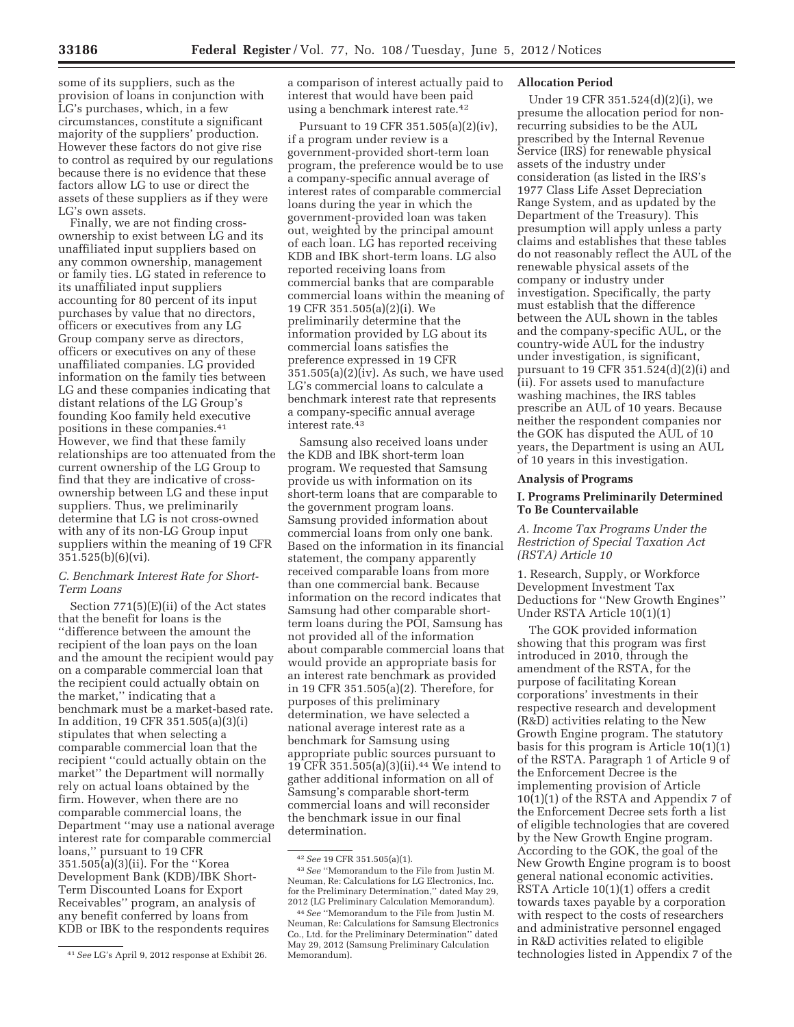some of its suppliers, such as the provision of loans in conjunction with LG's purchases, which, in a few circumstances, constitute a significant majority of the suppliers' production. However these factors do not give rise to control as required by our regulations because there is no evidence that these factors allow LG to use or direct the assets of these suppliers as if they were LG's own assets.

Finally, we are not finding crossownership to exist between LG and its unaffiliated input suppliers based on any common ownership, management or family ties. LG stated in reference to its unaffiliated input suppliers accounting for 80 percent of its input purchases by value that no directors, officers or executives from any LG Group company serve as directors, officers or executives on any of these unaffiliated companies. LG provided information on the family ties between LG and these companies indicating that distant relations of the LG Group's founding Koo family held executive positions in these companies.41 However, we find that these family relationships are too attenuated from the current ownership of the LG Group to find that they are indicative of crossownership between LG and these input suppliers. Thus, we preliminarily determine that LG is not cross-owned with any of its non-LG Group input suppliers within the meaning of 19 CFR 351.525(b)(6)(vi).

### *C. Benchmark Interest Rate for Short-Term Loans*

Section 771(5)(E)(ii) of the Act states that the benefit for loans is the ''difference between the amount the recipient of the loan pays on the loan and the amount the recipient would pay on a comparable commercial loan that the recipient could actually obtain on the market,'' indicating that a benchmark must be a market-based rate. In addition, 19 CFR 351.505(a)(3)(i) stipulates that when selecting a comparable commercial loan that the recipient ''could actually obtain on the market'' the Department will normally rely on actual loans obtained by the firm. However, when there are no comparable commercial loans, the Department ''may use a national average interest rate for comparable commercial loans,'' pursuant to 19 CFR 351.505(a)(3)(ii). For the ''Korea Development Bank (KDB)/IBK Short-Term Discounted Loans for Export Receivables'' program, an analysis of any benefit conferred by loans from KDB or IBK to the respondents requires

a comparison of interest actually paid to interest that would have been paid using a benchmark interest rate.42

Pursuant to 19 CFR 351.505(a)(2)(iv), if a program under review is a government-provided short-term loan program, the preference would be to use a company-specific annual average of interest rates of comparable commercial loans during the year in which the government-provided loan was taken out, weighted by the principal amount of each loan. LG has reported receiving KDB and IBK short-term loans. LG also reported receiving loans from commercial banks that are comparable commercial loans within the meaning of 19 CFR 351.505(a)(2)(i). We preliminarily determine that the information provided by LG about its commercial loans satisfies the preference expressed in 19 CFR  $351.505(a)(2)(iv)$ . As such, we have used LG's commercial loans to calculate a benchmark interest rate that represents a company-specific annual average interest rate.43

Samsung also received loans under the KDB and IBK short-term loan program. We requested that Samsung provide us with information on its short-term loans that are comparable to the government program loans. Samsung provided information about commercial loans from only one bank. Based on the information in its financial statement, the company apparently received comparable loans from more than one commercial bank. Because information on the record indicates that Samsung had other comparable shortterm loans during the POI, Samsung has not provided all of the information about comparable commercial loans that would provide an appropriate basis for an interest rate benchmark as provided in 19 CFR 351.505(a)(2). Therefore, for purposes of this preliminary determination, we have selected a national average interest rate as a benchmark for Samsung using appropriate public sources pursuant to 19 CFR 351.505(a)(3)(ii).44 We intend to gather additional information on all of Samsung's comparable short-term commercial loans and will reconsider the benchmark issue in our final determination.

### **Allocation Period**

Under 19 CFR 351.524(d)(2)(i), we presume the allocation period for nonrecurring subsidies to be the AUL prescribed by the Internal Revenue Service (IRS) for renewable physical assets of the industry under consideration (as listed in the IRS's 1977 Class Life Asset Depreciation Range System, and as updated by the Department of the Treasury). This presumption will apply unless a party claims and establishes that these tables do not reasonably reflect the AUL of the renewable physical assets of the company or industry under investigation. Specifically, the party must establish that the difference between the AUL shown in the tables and the company-specific AUL, or the country-wide AUL for the industry under investigation, is significant, pursuant to 19 CFR 351.524(d)(2)(i) and (ii). For assets used to manufacture washing machines, the IRS tables prescribe an AUL of 10 years. Because neither the respondent companies nor the GOK has disputed the AUL of 10 years, the Department is using an AUL of 10 years in this investigation.

#### **Analysis of Programs**

### **I. Programs Preliminarily Determined To Be Countervailable**

## *A. Income Tax Programs Under the Restriction of Special Taxation Act (RSTA) Article 10*

1. Research, Supply, or Workforce Development Investment Tax Deductions for ''New Growth Engines'' Under RSTA Article 10(1)(1)

The GOK provided information showing that this program was first introduced in 2010, through the amendment of the RSTA, for the purpose of facilitating Korean corporations' investments in their respective research and development (R&D) activities relating to the New Growth Engine program. The statutory basis for this program is Article  $10(1)(1)$ of the RSTA. Paragraph 1 of Article 9 of the Enforcement Decree is the implementing provision of Article 10(1)(1) of the RSTA and Appendix 7 of the Enforcement Decree sets forth a list of eligible technologies that are covered by the New Growth Engine program. According to the GOK, the goal of the New Growth Engine program is to boost general national economic activities. RSTA Article 10(1)(1) offers a credit towards taxes payable by a corporation with respect to the costs of researchers and administrative personnel engaged in R&D activities related to eligible technologies listed in Appendix 7 of the

<sup>41</sup>*See* LG's April 9, 2012 response at Exhibit 26.

<sup>42</sup>*See* 19 CFR 351.505(a)(1).

<sup>43</sup>*See* ''Memorandum to the File from Justin M. Neuman, Re: Calculations for LG Electronics, Inc. for the Preliminary Determination,'' dated May 29, 2012 (LG Preliminary Calculation Memorandum).

<sup>44</sup>*See* ''Memorandum to the File from Justin M. Neuman, Re: Calculations for Samsung Electronics Co., Ltd. for the Preliminary Determination'' dated May 29, 2012 (Samsung Preliminary Calculation Memorandum).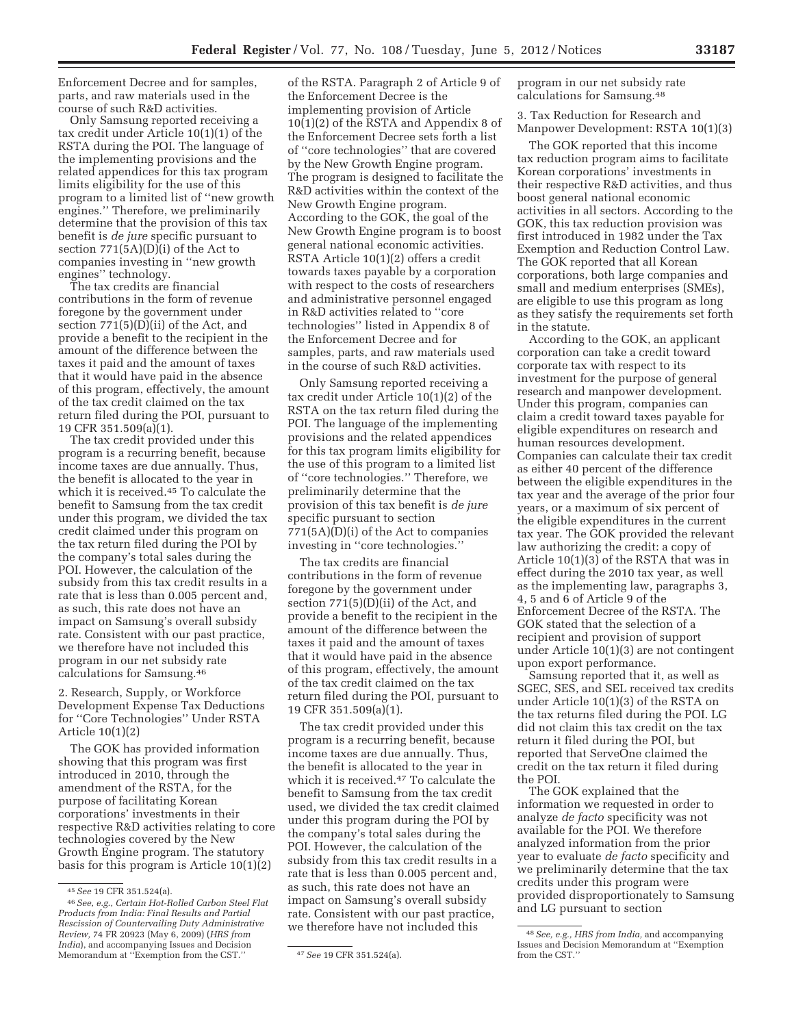Enforcement Decree and for samples, parts, and raw materials used in the course of such R&D activities.

Only Samsung reported receiving a tax credit under Article 10(1)(1) of the RSTA during the POI. The language of the implementing provisions and the related appendices for this tax program limits eligibility for the use of this program to a limited list of ''new growth engines.'' Therefore, we preliminarily determine that the provision of this tax benefit is *de jure* specific pursuant to section 771(5A)(D)(i) of the Act to companies investing in ''new growth engines'' technology.

The tax credits are financial contributions in the form of revenue foregone by the government under section 771(5)(D)(ii) of the Act, and provide a benefit to the recipient in the amount of the difference between the taxes it paid and the amount of taxes that it would have paid in the absence of this program, effectively, the amount of the tax credit claimed on the tax return filed during the POI, pursuant to 19 CFR 351.509(a)(1).

The tax credit provided under this program is a recurring benefit, because income taxes are due annually. Thus, the benefit is allocated to the year in which it is received.45 To calculate the benefit to Samsung from the tax credit under this program, we divided the tax credit claimed under this program on the tax return filed during the POI by the company's total sales during the POI. However, the calculation of the subsidy from this tax credit results in a rate that is less than 0.005 percent and, as such, this rate does not have an impact on Samsung's overall subsidy rate. Consistent with our past practice, we therefore have not included this program in our net subsidy rate calculations for Samsung.46

2. Research, Supply, or Workforce Development Expense Tax Deductions for ''Core Technologies'' Under RSTA Article 10(1)(2)

The GOK has provided information showing that this program was first introduced in 2010, through the amendment of the RSTA, for the purpose of facilitating Korean corporations' investments in their respective R&D activities relating to core technologies covered by the New Growth Engine program. The statutory basis for this program is Article 10(1)(2)

of the RSTA. Paragraph 2 of Article 9 of the Enforcement Decree is the implementing provision of Article 10(1)(2) of the RSTA and Appendix 8 of the Enforcement Decree sets forth a list of ''core technologies'' that are covered by the New Growth Engine program. The program is designed to facilitate the R&D activities within the context of the New Growth Engine program. According to the GOK, the goal of the New Growth Engine program is to boost general national economic activities. RSTA Article 10(1)(2) offers a credit towards taxes payable by a corporation with respect to the costs of researchers and administrative personnel engaged in R&D activities related to ''core technologies'' listed in Appendix 8 of the Enforcement Decree and for samples, parts, and raw materials used in the course of such R&D activities.

Only Samsung reported receiving a tax credit under Article 10(1)(2) of the RSTA on the tax return filed during the POI. The language of the implementing provisions and the related appendices for this tax program limits eligibility for the use of this program to a limited list of ''core technologies.'' Therefore, we preliminarily determine that the provision of this tax benefit is *de jure*  specific pursuant to section 771(5A)(D)(i) of the Act to companies investing in ''core technologies.''

The tax credits are financial contributions in the form of revenue foregone by the government under section 771(5)(D)(ii) of the Act, and provide a benefit to the recipient in the amount of the difference between the taxes it paid and the amount of taxes that it would have paid in the absence of this program, effectively, the amount of the tax credit claimed on the tax return filed during the POI, pursuant to 19 CFR 351.509(a)(1).

The tax credit provided under this program is a recurring benefit, because income taxes are due annually. Thus, the benefit is allocated to the year in which it is received.47 To calculate the benefit to Samsung from the tax credit used, we divided the tax credit claimed under this program during the POI by the company's total sales during the POI. However, the calculation of the subsidy from this tax credit results in a rate that is less than 0.005 percent and, as such, this rate does not have an impact on Samsung's overall subsidy rate. Consistent with our past practice, we therefore have not included this

program in our net subsidy rate calculations for Samsung.48

3. Tax Reduction for Research and Manpower Development: RSTA 10(1)(3)

The GOK reported that this income tax reduction program aims to facilitate Korean corporations' investments in their respective R&D activities, and thus boost general national economic activities in all sectors. According to the GOK, this tax reduction provision was first introduced in 1982 under the Tax Exemption and Reduction Control Law. The GOK reported that all Korean corporations, both large companies and small and medium enterprises (SMEs), are eligible to use this program as long as they satisfy the requirements set forth in the statute.

According to the GOK, an applicant corporation can take a credit toward corporate tax with respect to its investment for the purpose of general research and manpower development. Under this program, companies can claim a credit toward taxes payable for eligible expenditures on research and human resources development. Companies can calculate their tax credit as either 40 percent of the difference between the eligible expenditures in the tax year and the average of the prior four years, or a maximum of six percent of the eligible expenditures in the current tax year. The GOK provided the relevant law authorizing the credit: a copy of Article 10(1)(3) of the RSTA that was in effect during the 2010 tax year, as well as the implementing law, paragraphs 3, 4, 5 and 6 of Article 9 of the Enforcement Decree of the RSTA. The GOK stated that the selection of a recipient and provision of support under Article 10(1)(3) are not contingent upon export performance.

Samsung reported that it, as well as SGEC, SES, and SEL received tax credits under Article 10(1)(3) of the RSTA on the tax returns filed during the POI. LG did not claim this tax credit on the tax return it filed during the POI, but reported that ServeOne claimed the credit on the tax return it filed during the POI.

The GOK explained that the information we requested in order to analyze *de facto* specificity was not available for the POI. We therefore analyzed information from the prior year to evaluate *de facto* specificity and we preliminarily determine that the tax credits under this program were provided disproportionately to Samsung and LG pursuant to section

<sup>45</sup>*See* 19 CFR 351.524(a).

<sup>46</sup>*See, e.g., Certain Hot-Rolled Carbon Steel Flat Products from India: Final Results and Partial Rescission of Countervailing Duty Administrative Review,* 74 FR 20923 (May 6, 2009) (*HRS from India*), and accompanying Issues and Decision Memorandum at ''Exemption from the CST.'' 47*See* 19 CFR 351.524(a).

<sup>48</sup>*See, e.g., HRS from India,* and accompanying Issues and Decision Memorandum at ''Exemption from the CST.''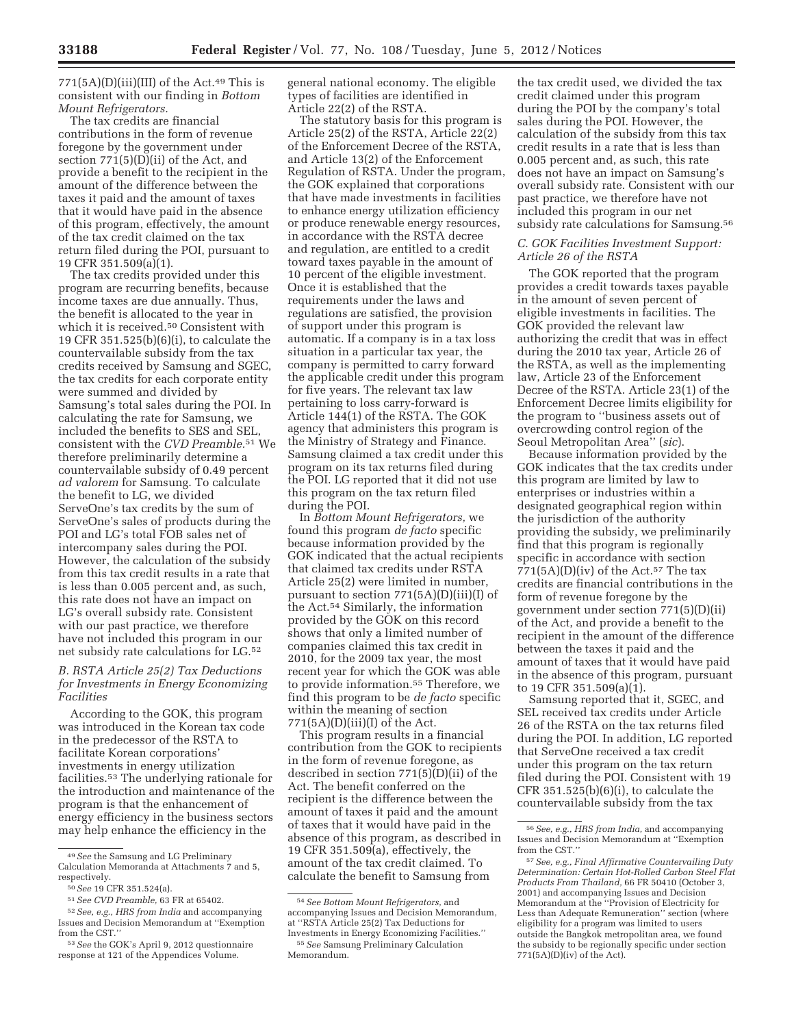$771(5A)$ (D)(iii)(III) of the Act.<sup>49</sup> This is consistent with our finding in *Bottom Mount Refrigerators.* 

The tax credits are financial contributions in the form of revenue foregone by the government under section 771(5)(D)(ii) of the Act, and provide a benefit to the recipient in the amount of the difference between the taxes it paid and the amount of taxes that it would have paid in the absence of this program, effectively, the amount of the tax credit claimed on the tax return filed during the POI, pursuant to 19 CFR 351.509(a)(1).

The tax credits provided under this program are recurring benefits, because income taxes are due annually. Thus, the benefit is allocated to the year in which it is received.50 Consistent with 19 CFR 351.525(b)(6)(i), to calculate the countervailable subsidy from the tax credits received by Samsung and SGEC, the tax credits for each corporate entity were summed and divided by Samsung's total sales during the POI. In calculating the rate for Samsung, we included the benefits to SES and SEL, consistent with the *CVD Preamble.*51 We therefore preliminarily determine a countervailable subsidy of 0.49 percent *ad valorem* for Samsung. To calculate the benefit to LG, we divided ServeOne's tax credits by the sum of ServeOne's sales of products during the POI and LG's total FOB sales net of intercompany sales during the POI. However, the calculation of the subsidy from this tax credit results in a rate that is less than 0.005 percent and, as such, this rate does not have an impact on LG's overall subsidy rate. Consistent with our past practice, we therefore have not included this program in our net subsidy rate calculations for LG.52

### *B. RSTA Article 25(2) Tax Deductions for Investments in Energy Economizing Facilities*

According to the GOK, this program was introduced in the Korean tax code in the predecessor of the RSTA to facilitate Korean corporations' investments in energy utilization facilities.53 The underlying rationale for the introduction and maintenance of the program is that the enhancement of energy efficiency in the business sectors may help enhance the efficiency in the

general national economy. The eligible types of facilities are identified in Article 22(2) of the RSTA.

The statutory basis for this program is Article 25(2) of the RSTA, Article 22(2) of the Enforcement Decree of the RSTA, and Article 13(2) of the Enforcement Regulation of RSTA. Under the program, the GOK explained that corporations that have made investments in facilities to enhance energy utilization efficiency or produce renewable energy resources, in accordance with the RSTA decree and regulation, are entitled to a credit toward taxes payable in the amount of 10 percent of the eligible investment. Once it is established that the requirements under the laws and regulations are satisfied, the provision of support under this program is automatic. If a company is in a tax loss situation in a particular tax year, the company is permitted to carry forward the applicable credit under this program for five years. The relevant tax law pertaining to loss carry-forward is Article 144(1) of the RSTA. The GOK agency that administers this program is the Ministry of Strategy and Finance. Samsung claimed a tax credit under this program on its tax returns filed during the POI. LG reported that it did not use this program on the tax return filed during the POI.

In *Bottom Mount Refrigerators,* we found this program *de facto* specific because information provided by the GOK indicated that the actual recipients that claimed tax credits under RSTA Article 25(2) were limited in number, pursuant to section 771(5A)(D)(iii)(I) of the Act.54 Similarly, the information provided by the GOK on this record shows that only a limited number of companies claimed this tax credit in 2010, for the 2009 tax year, the most recent year for which the GOK was able to provide information.55 Therefore, we find this program to be *de facto* specific within the meaning of section  $771(5A)(D)(iii)(I)$  of the Act.

This program results in a financial contribution from the GOK to recipients in the form of revenue foregone, as described in section 771(5)(D)(ii) of the Act. The benefit conferred on the recipient is the difference between the amount of taxes it paid and the amount of taxes that it would have paid in the absence of this program, as described in 19 CFR 351.509(a), effectively, the amount of the tax credit claimed. To calculate the benefit to Samsung from

the tax credit used, we divided the tax credit claimed under this program during the POI by the company's total sales during the POI. However, the calculation of the subsidy from this tax credit results in a rate that is less than 0.005 percent and, as such, this rate does not have an impact on Samsung's overall subsidy rate. Consistent with our past practice, we therefore have not included this program in our net subsidy rate calculations for Samsung.56

#### *C. GOK Facilities Investment Support: Article 26 of the RSTA*

The GOK reported that the program provides a credit towards taxes payable in the amount of seven percent of eligible investments in facilities. The GOK provided the relevant law authorizing the credit that was in effect during the 2010 tax year, Article 26 of the RSTA, as well as the implementing law, Article 23 of the Enforcement Decree of the RSTA. Article 23(1) of the Enforcement Decree limits eligibility for the program to ''business assets out of overcrowding control region of the Seoul Metropolitan Area'' (*sic*).

Because information provided by the GOK indicates that the tax credits under this program are limited by law to enterprises or industries within a designated geographical region within the jurisdiction of the authority providing the subsidy, we preliminarily find that this program is regionally specific in accordance with section  $771(5A)(D)(iv)$  of the Act.<sup>57</sup> The tax credits are financial contributions in the form of revenue foregone by the government under section 771(5)(D)(ii) of the Act, and provide a benefit to the recipient in the amount of the difference between the taxes it paid and the amount of taxes that it would have paid in the absence of this program, pursuant to 19 CFR 351.509(a)(1).

Samsung reported that it, SGEC, and SEL received tax credits under Article 26 of the RSTA on the tax returns filed during the POI. In addition, LG reported that ServeOne received a tax credit under this program on the tax return filed during the POI. Consistent with 19 CFR  $351.525(b)(6)(i)$ , to calculate the countervailable subsidy from the tax

<sup>49</sup>*See* the Samsung and LG Preliminary Calculation Memoranda at Attachments 7 and 5, respectively.

<sup>50</sup>*See* 19 CFR 351.524(a).

<sup>51</sup>*See CVD Preamble,* 63 FR at 65402.

<sup>52</sup>*See, e.g., HRS from India* and accompanying Issues and Decision Memorandum at ''Exemption from the CST.''

<sup>53</sup>*See* the GOK's April 9, 2012 questionnaire response at 121 of the Appendices Volume.

<sup>54</sup>*See Bottom Mount Refrigerators,* and accompanying Issues and Decision Memorandum, at ''RSTA Article 25(2) Tax Deductions for Investments in Energy Economizing Facilities.'' 55*See* Samsung Preliminary Calculation Memorandum.

<sup>56</sup>*See, e.g., HRS from India,* and accompanying Issues and Decision Memorandum at ''Exemption from the CST.

<sup>57</sup>*See, e.g., Final Affirmative Countervailing Duty Determination: Certain Hot-Rolled Carbon Steel Flat Products From Thailand,* 66 FR 50410 (October 3, 2001) and accompanying Issues and Decision Memorandum at the ''Provision of Electricity for Less than Adequate Remuneration'' section (where eligibility for a program was limited to users outside the Bangkok metropolitan area, we found the subsidy to be regionally specific under section  $771(5A)(D)(iv)$  of the Act).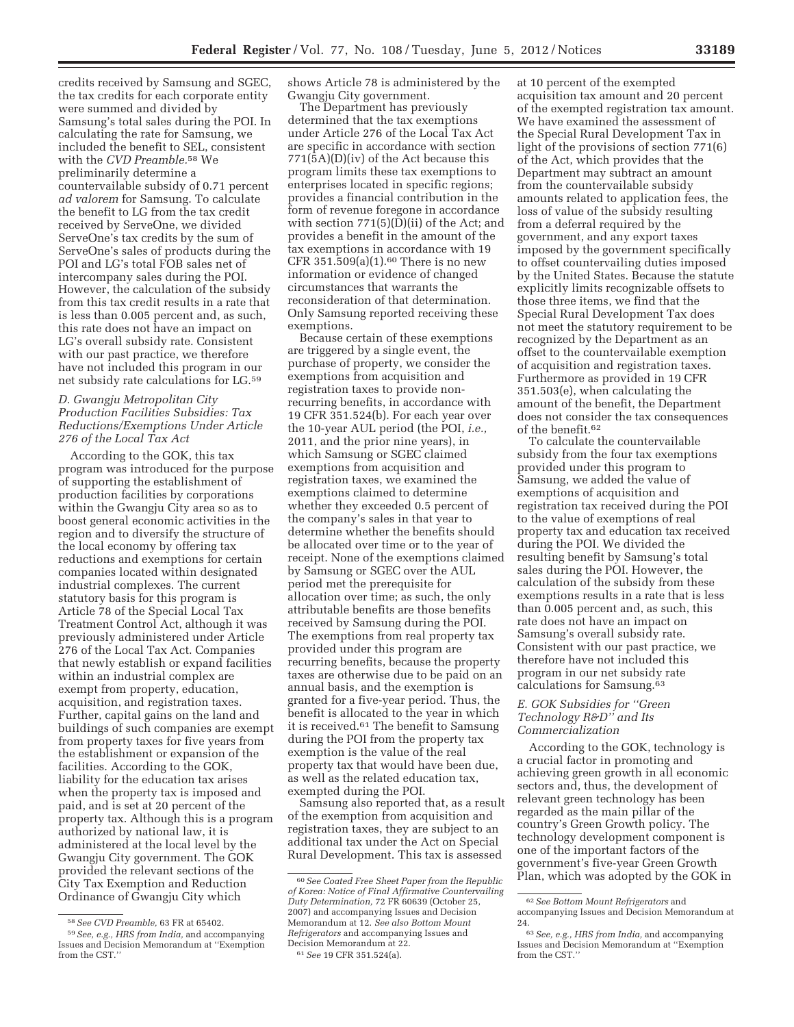credits received by Samsung and SGEC, the tax credits for each corporate entity were summed and divided by Samsung's total sales during the POI. In calculating the rate for Samsung, we included the benefit to SEL, consistent with the *CVD Preamble.*58 We preliminarily determine a countervailable subsidy of 0.71 percent *ad valorem* for Samsung. To calculate the benefit to LG from the tax credit received by ServeOne, we divided ServeOne's tax credits by the sum of ServeOne's sales of products during the POI and LG's total FOB sales net of intercompany sales during the POI. However, the calculation of the subsidy from this tax credit results in a rate that is less than 0.005 percent and, as such, this rate does not have an impact on LG's overall subsidy rate. Consistent with our past practice, we therefore have not included this program in our net subsidy rate calculations for LG.59

## *D. Gwangju Metropolitan City Production Facilities Subsidies: Tax Reductions/Exemptions Under Article 276 of the Local Tax Act*

According to the GOK, this tax program was introduced for the purpose of supporting the establishment of production facilities by corporations within the Gwangju City area so as to boost general economic activities in the region and to diversify the structure of the local economy by offering tax reductions and exemptions for certain companies located within designated industrial complexes. The current statutory basis for this program is Article 78 of the Special Local Tax Treatment Control Act, although it was previously administered under Article 276 of the Local Tax Act. Companies that newly establish or expand facilities within an industrial complex are exempt from property, education, acquisition, and registration taxes. Further, capital gains on the land and buildings of such companies are exempt from property taxes for five years from the establishment or expansion of the facilities. According to the GOK, liability for the education tax arises when the property tax is imposed and paid, and is set at 20 percent of the property tax. Although this is a program authorized by national law, it is administered at the local level by the Gwangju City government. The GOK provided the relevant sections of the City Tax Exemption and Reduction Ordinance of Gwangju City which

shows Article 78 is administered by the Gwangju City government.

The Department has previously determined that the tax exemptions under Article 276 of the Local Tax Act are specific in accordance with section 771(5A)(D)(iv) of the Act because this program limits these tax exemptions to enterprises located in specific regions; provides a financial contribution in the form of revenue foregone in accordance with section 771(5)(D)(ii) of the Act; and provides a benefit in the amount of the tax exemptions in accordance with 19 CFR 351.509 $(a)(1)$ .<sup>60</sup> There is no new information or evidence of changed circumstances that warrants the reconsideration of that determination. Only Samsung reported receiving these exemptions.

Because certain of these exemptions are triggered by a single event, the purchase of property, we consider the exemptions from acquisition and registration taxes to provide nonrecurring benefits, in accordance with 19 CFR 351.524(b). For each year over the 10-year AUL period (the POI, *i.e.,*  2011, and the prior nine years), in which Samsung or SGEC claimed exemptions from acquisition and registration taxes, we examined the exemptions claimed to determine whether they exceeded 0.5 percent of the company's sales in that year to determine whether the benefits should be allocated over time or to the year of receipt. None of the exemptions claimed by Samsung or SGEC over the AUL period met the prerequisite for allocation over time; as such, the only attributable benefits are those benefits received by Samsung during the POI. The exemptions from real property tax provided under this program are recurring benefits, because the property taxes are otherwise due to be paid on an annual basis, and the exemption is granted for a five-year period. Thus, the benefit is allocated to the year in which it is received.61 The benefit to Samsung during the POI from the property tax exemption is the value of the real property tax that would have been due, as well as the related education tax, exempted during the POI.

Samsung also reported that, as a result of the exemption from acquisition and registration taxes, they are subject to an additional tax under the Act on Special Rural Development. This tax is assessed

acquisition tax amount and 20 percent of the exempted registration tax amount. We have examined the assessment of the Special Rural Development Tax in light of the provisions of section 771(6) of the Act, which provides that the Department may subtract an amount from the countervailable subsidy amounts related to application fees, the loss of value of the subsidy resulting from a deferral required by the government, and any export taxes imposed by the government specifically to offset countervailing duties imposed by the United States. Because the statute explicitly limits recognizable offsets to those three items, we find that the Special Rural Development Tax does not meet the statutory requirement to be recognized by the Department as an offset to the countervailable exemption of acquisition and registration taxes. Furthermore as provided in 19 CFR 351.503(e), when calculating the

at 10 percent of the exempted

of the benefit.62 To calculate the countervailable subsidy from the four tax exemptions provided under this program to Samsung, we added the value of exemptions of acquisition and registration tax received during the POI to the value of exemptions of real property tax and education tax received during the POI. We divided the resulting benefit by Samsung's total sales during the POI. However, the calculation of the subsidy from these exemptions results in a rate that is less than 0.005 percent and, as such, this rate does not have an impact on Samsung's overall subsidy rate. Consistent with our past practice, we therefore have not included this program in our net subsidy rate calculations for Samsung.63

amount of the benefit, the Department does not consider the tax consequences

## *E. GOK Subsidies for ''Green Technology R&D'' and Its Commercialization*

According to the GOK, technology is a crucial factor in promoting and achieving green growth in all economic sectors and, thus, the development of relevant green technology has been regarded as the main pillar of the country's Green Growth policy. The technology development component is one of the important factors of the government's five-year Green Growth Plan, which was adopted by the GOK in

<sup>58</sup>*See CVD Preamble,* 63 FR at 65402.

<sup>59</sup>*See, e.g., HRS from India,* and accompanying Issues and Decision Memorandum at ''Exemption from the CST.''

<sup>60</sup>*See Coated Free Sheet Paper from the Republic of Korea: Notice of Final Affirmative Countervailing Duty Determination,* 72 FR 60639 (October 25, 2007) and accompanying Issues and Decision Memorandum at 12. *See also Bottom Mount Refrigerators* and accompanying Issues and Decision Memorandum at 22. 61*See* 19 CFR 351.524(a).

<sup>62</sup>*See Bottom Mount Refrigerators* and accompanying Issues and Decision Memorandum at 24.

<sup>63</sup>*See, e.g., HRS from India,* and accompanying Issues and Decision Memorandum at ''Exemption from the CST.''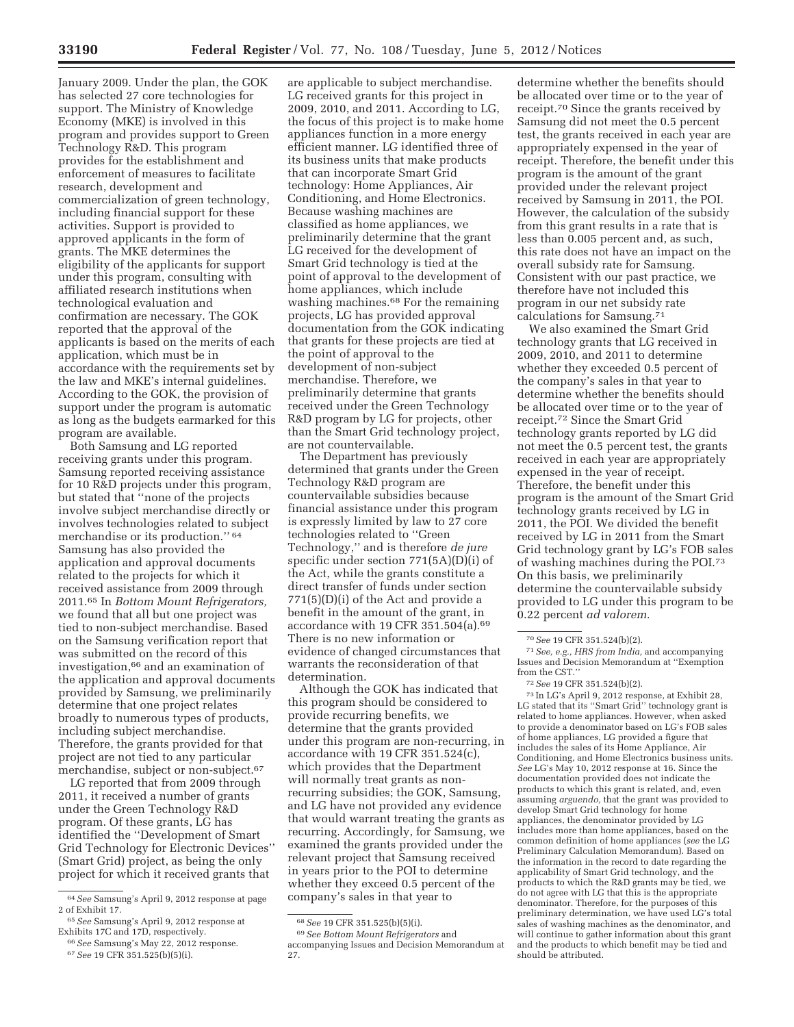January 2009. Under the plan, the GOK has selected 27 core technologies for support. The Ministry of Knowledge Economy (MKE) is involved in this program and provides support to Green Technology R&D. This program provides for the establishment and enforcement of measures to facilitate research, development and commercialization of green technology, including financial support for these activities. Support is provided to approved applicants in the form of grants. The MKE determines the eligibility of the applicants for support under this program, consulting with affiliated research institutions when technological evaluation and confirmation are necessary. The GOK reported that the approval of the applicants is based on the merits of each application, which must be in accordance with the requirements set by the law and MKE's internal guidelines. According to the GOK, the provision of support under the program is automatic as long as the budgets earmarked for this program are available.

Both Samsung and LG reported receiving grants under this program. Samsung reported receiving assistance for 10 R&D projects under this program, but stated that ''none of the projects involve subject merchandise directly or involves technologies related to subject merchandise or its production.'' 64 Samsung has also provided the application and approval documents related to the projects for which it received assistance from 2009 through 2011.65 In *Bottom Mount Refrigerators,*  we found that all but one project was tied to non-subject merchandise. Based on the Samsung verification report that was submitted on the record of this investigation,66 and an examination of the application and approval documents provided by Samsung, we preliminarily determine that one project relates broadly to numerous types of products, including subject merchandise. Therefore, the grants provided for that project are not tied to any particular merchandise, subject or non-subject.<sup>67</sup>

LG reported that from 2009 through 2011, it received a number of grants under the Green Technology R&D program. Of these grants, LG has identified the ''Development of Smart Grid Technology for Electronic Devices'' (Smart Grid) project, as being the only project for which it received grants that

are applicable to subject merchandise. LG received grants for this project in 2009, 2010, and 2011. According to LG, the focus of this project is to make home appliances function in a more energy efficient manner. LG identified three of its business units that make products that can incorporate Smart Grid technology: Home Appliances, Air Conditioning, and Home Electronics. Because washing machines are classified as home appliances, we preliminarily determine that the grant LG received for the development of Smart Grid technology is tied at the point of approval to the development of home appliances, which include washing machines.68 For the remaining projects, LG has provided approval documentation from the GOK indicating that grants for these projects are tied at the point of approval to the development of non-subject merchandise. Therefore, we preliminarily determine that grants received under the Green Technology R&D program by LG for projects, other than the Smart Grid technology project, are not countervailable.

The Department has previously determined that grants under the Green Technology R&D program are countervailable subsidies because financial assistance under this program is expressly limited by law to 27 core technologies related to ''Green Technology,'' and is therefore *de jure*  specific under section 771(5A)(D)(i) of the Act, while the grants constitute a direct transfer of funds under section 771(5)(D)(i) of the Act and provide a benefit in the amount of the grant, in accordance with 19 CFR 351.504(a). $69$ There is no new information or evidence of changed circumstances that warrants the reconsideration of that determination.

Although the GOK has indicated that this program should be considered to provide recurring benefits, we determine that the grants provided under this program are non-recurring, in accordance with 19 CFR 351.524(c), which provides that the Department will normally treat grants as nonrecurring subsidies; the GOK, Samsung, and LG have not provided any evidence that would warrant treating the grants as recurring. Accordingly, for Samsung, we examined the grants provided under the relevant project that Samsung received in years prior to the POI to determine whether they exceed 0.5 percent of the company's sales in that year to

determine whether the benefits should be allocated over time or to the year of receipt.70 Since the grants received by Samsung did not meet the 0.5 percent test, the grants received in each year are appropriately expensed in the year of receipt. Therefore, the benefit under this program is the amount of the grant provided under the relevant project received by Samsung in 2011, the POI. However, the calculation of the subsidy from this grant results in a rate that is less than 0.005 percent and, as such, this rate does not have an impact on the overall subsidy rate for Samsung. Consistent with our past practice, we therefore have not included this program in our net subsidy rate calculations for Samsung.71

We also examined the Smart Grid technology grants that LG received in 2009, 2010, and 2011 to determine whether they exceeded 0.5 percent of the company's sales in that year to determine whether the benefits should be allocated over time or to the year of receipt.72 Since the Smart Grid technology grants reported by LG did not meet the 0.5 percent test, the grants received in each year are appropriately expensed in the year of receipt. Therefore, the benefit under this program is the amount of the Smart Grid technology grants received by LG in 2011, the POI. We divided the benefit received by LG in 2011 from the Smart Grid technology grant by LG's FOB sales of washing machines during the POI.73 On this basis, we preliminarily determine the countervailable subsidy provided to LG under this program to be 0.22 percent *ad valorem.* 

71*See, e.g., HRS from India,* and accompanying Issues and Decision Memorandum at ''Exemption from the CST.''

73 In LG's April 9, 2012 response, at Exhibit 28, LG stated that its "Smart Grid" technology grant is related to home appliances. However, when asked to provide a denominator based on LG's FOB sales of home appliances, LG provided a figure that includes the sales of its Home Appliance, Air Conditioning, and Home Electronics business units. *See* LG's May 10, 2012 response at 16. Since the documentation provided does not indicate the products to which this grant is related, and, even assuming *arguendo,* that the grant was provided to develop Smart Grid technology for home appliances, the denominator provided by LG includes more than home appliances, based on the common definition of home appliances (*see* the LG Preliminary Calculation Memorandum). Based on the information in the record to date regarding the applicability of Smart Grid technology, and the products to which the R&D grants may be tied, we do not agree with LG that this is the appropriate denominator. Therefore, for the purposes of this preliminary determination, we have used LG's total sales of washing machines as the denominator, and will continue to gather information about this grant and the products to which benefit may be tied and should be attributed.

<sup>64</sup>*See* Samsung's April 9, 2012 response at page 2 of Exhibit 17.

<sup>65</sup>*See* Samsung's April 9, 2012 response at Exhibits 17C and 17D, respectively.

<sup>66</sup>*See* Samsung's May 22, 2012 response. 67*See* 19 CFR 351.525(b)(5)(i).

<sup>68</sup>*See* 19 CFR 351.525(b)(5)(i).

<sup>69</sup>*See Bottom Mount Refrigerators* and accompanying Issues and Decision Memorandum at 27.

<sup>70</sup>*See* 19 CFR 351.524(b)(2).

<sup>72</sup>*See* 19 CFR 351.524(b)(2).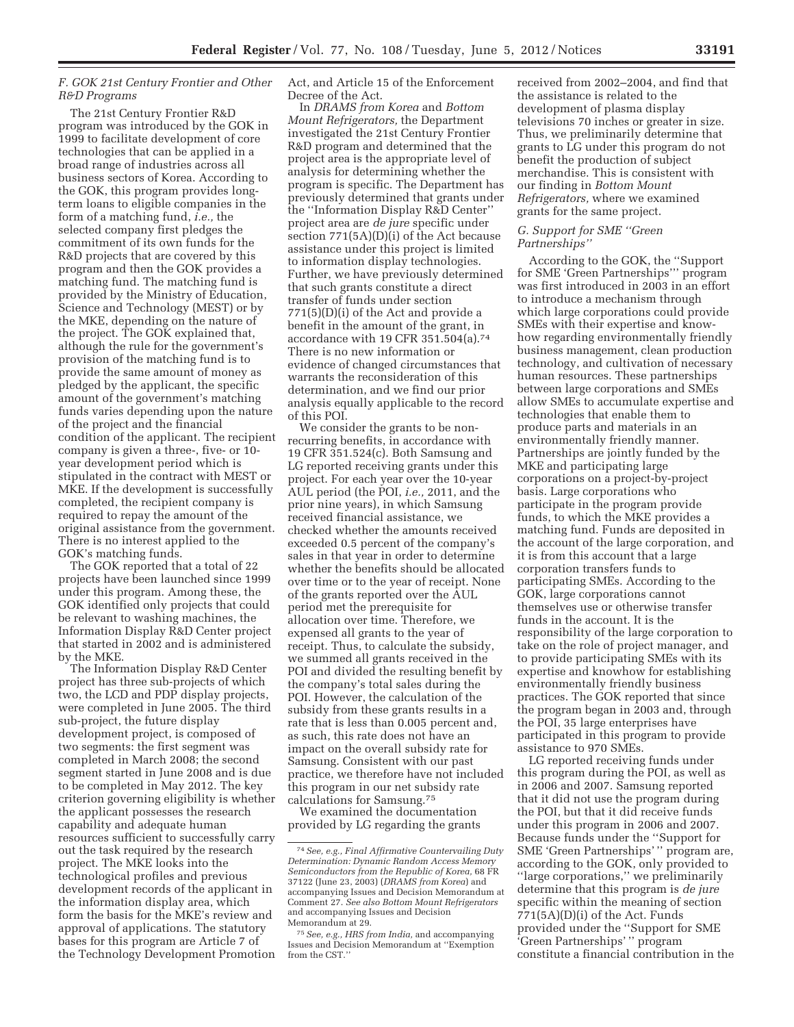# *F. GOK 21st Century Frontier and Other R&D Programs*

The 21st Century Frontier R&D program was introduced by the GOK in 1999 to facilitate development of core technologies that can be applied in a broad range of industries across all business sectors of Korea. According to the GOK, this program provides longterm loans to eligible companies in the form of a matching fund, *i.e.,* the selected company first pledges the commitment of its own funds for the R&D projects that are covered by this program and then the GOK provides a matching fund. The matching fund is provided by the Ministry of Education, Science and Technology (MEST) or by the MKE, depending on the nature of the project. The GOK explained that, although the rule for the government's provision of the matching fund is to provide the same amount of money as pledged by the applicant, the specific amount of the government's matching funds varies depending upon the nature of the project and the financial condition of the applicant. The recipient company is given a three-, five- or 10 year development period which is stipulated in the contract with MEST or MKE. If the development is successfully completed, the recipient company is required to repay the amount of the original assistance from the government. There is no interest applied to the GOK's matching funds.

The GOK reported that a total of 22 projects have been launched since 1999 under this program. Among these, the GOK identified only projects that could be relevant to washing machines, the Information Display R&D Center project that started in 2002 and is administered by the MKE.

The Information Display R&D Center project has three sub-projects of which two, the LCD and PDP display projects, were completed in June 2005. The third sub-project, the future display development project, is composed of two segments: the first segment was completed in March 2008; the second segment started in June 2008 and is due to be completed in May 2012. The key criterion governing eligibility is whether the applicant possesses the research capability and adequate human resources sufficient to successfully carry out the task required by the research project. The MKE looks into the technological profiles and previous development records of the applicant in the information display area, which form the basis for the MKE's review and approval of applications. The statutory bases for this program are Article 7 of the Technology Development Promotion Act, and Article 15 of the Enforcement Decree of the Act.

In *DRAMS from Korea* and *Bottom Mount Refrigerators,* the Department investigated the 21st Century Frontier R&D program and determined that the project area is the appropriate level of analysis for determining whether the program is specific. The Department has previously determined that grants under the ''Information Display R&D Center'' project area are *de jure* specific under section 771(5A)(D)(i) of the Act because assistance under this project is limited to information display technologies. Further, we have previously determined that such grants constitute a direct transfer of funds under section 771(5)(D)(i) of the Act and provide a benefit in the amount of the grant, in accordance with 19 CFR 351.504(a).74 There is no new information or evidence of changed circumstances that warrants the reconsideration of this determination, and we find our prior analysis equally applicable to the record of this POI.

We consider the grants to be nonrecurring benefits, in accordance with 19 CFR 351.524(c). Both Samsung and LG reported receiving grants under this project. For each year over the 10-year AUL period (the POI, *i.e.,* 2011, and the prior nine years), in which Samsung received financial assistance, we checked whether the amounts received exceeded 0.5 percent of the company's sales in that year in order to determine whether the benefits should be allocated over time or to the year of receipt. None of the grants reported over the AUL period met the prerequisite for allocation over time. Therefore, we expensed all grants to the year of receipt. Thus, to calculate the subsidy, we summed all grants received in the POI and divided the resulting benefit by the company's total sales during the POI. However, the calculation of the subsidy from these grants results in a rate that is less than 0.005 percent and, as such, this rate does not have an impact on the overall subsidy rate for Samsung. Consistent with our past practice, we therefore have not included this program in our net subsidy rate calculations for Samsung.75

We examined the documentation provided by LG regarding the grants received from 2002–2004, and find that the assistance is related to the development of plasma display televisions 70 inches or greater in size. Thus, we preliminarily determine that grants to LG under this program do not benefit the production of subject merchandise. This is consistent with our finding in *Bottom Mount Refrigerators,* where we examined grants for the same project.

#### *G. Support for SME ''Green Partnerships''*

According to the GOK, the ''Support for SME 'Green Partnerships''' program was first introduced in 2003 in an effort to introduce a mechanism through which large corporations could provide SMEs with their expertise and knowhow regarding environmentally friendly business management, clean production technology, and cultivation of necessary human resources. These partnerships between large corporations and SMEs allow SMEs to accumulate expertise and technologies that enable them to produce parts and materials in an environmentally friendly manner. Partnerships are jointly funded by the MKE and participating large corporations on a project-by-project basis. Large corporations who participate in the program provide funds, to which the MKE provides a matching fund. Funds are deposited in the account of the large corporation, and it is from this account that a large corporation transfers funds to participating SMEs. According to the GOK, large corporations cannot themselves use or otherwise transfer funds in the account. It is the responsibility of the large corporation to take on the role of project manager, and to provide participating SMEs with its expertise and knowhow for establishing environmentally friendly business practices. The GOK reported that since the program began in 2003 and, through the POI, 35 large enterprises have participated in this program to provide assistance to 970 SMEs.

LG reported receiving funds under this program during the POI, as well as in 2006 and 2007. Samsung reported that it did not use the program during the POI, but that it did receive funds under this program in 2006 and 2007. Because funds under the ''Support for SME 'Green Partnerships' '' program are, according to the GOK, only provided to ''large corporations,'' we preliminarily determine that this program is *de jure*  specific within the meaning of section 771(5A)(D)(i) of the Act. Funds provided under the ''Support for SME 'Green Partnerships' '' program constitute a financial contribution in the

<sup>74</sup>*See, e.g., Final Affirmative Countervailing Duty*   $Determine$  *Random Access Memor Semiconductors from the Republic of Korea,* 68 FR 37122 (June 23, 2003) (*DRAMS from Korea*) and accompanying Issues and Decision Memorandum at Comment 27. *See also Bottom Mount Refrigerators*  and accompanying Issues and Decision Memorandum at 29.

<sup>75</sup>*See, e.g., HRS from India,* and accompanying Issues and Decision Memorandum at ''Exemption from the CST.''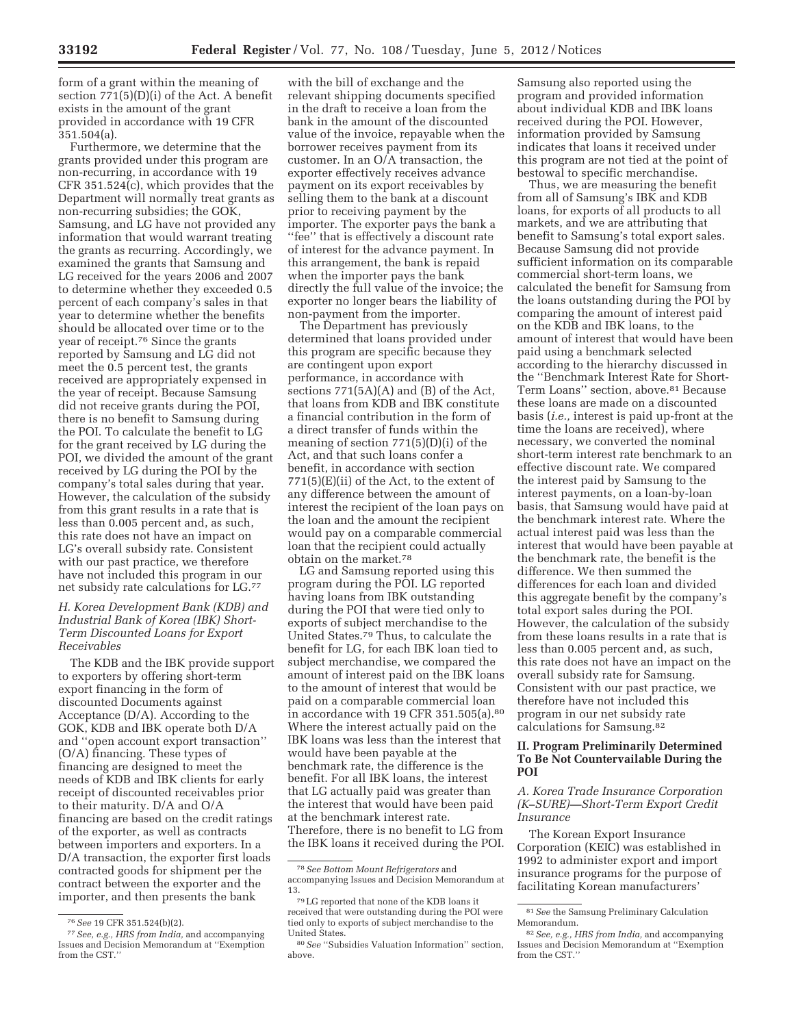form of a grant within the meaning of section 771(5)(D)(i) of the Act. A benefit exists in the amount of the grant provided in accordance with 19 CFR 351.504(a).

Furthermore, we determine that the grants provided under this program are non-recurring, in accordance with 19 CFR 351.524(c), which provides that the Department will normally treat grants as non-recurring subsidies; the GOK, Samsung, and LG have not provided any information that would warrant treating the grants as recurring. Accordingly, we examined the grants that Samsung and LG received for the years 2006 and 2007 to determine whether they exceeded 0.5 percent of each company's sales in that year to determine whether the benefits should be allocated over time or to the year of receipt.76 Since the grants reported by Samsung and LG did not meet the 0.5 percent test, the grants received are appropriately expensed in the year of receipt. Because Samsung did not receive grants during the POI, there is no benefit to Samsung during the POI. To calculate the benefit to LG for the grant received by LG during the POI, we divided the amount of the grant received by LG during the POI by the company's total sales during that year. However, the calculation of the subsidy from this grant results in a rate that is less than 0.005 percent and, as such, this rate does not have an impact on LG's overall subsidy rate. Consistent with our past practice, we therefore have not included this program in our net subsidy rate calculations for LG.77

## *H. Korea Development Bank (KDB) and Industrial Bank of Korea (IBK) Short-Term Discounted Loans for Export Receivables*

The KDB and the IBK provide support to exporters by offering short-term export financing in the form of discounted Documents against Acceptance (D/A). According to the GOK, KDB and IBK operate both D/A and ''open account export transaction'' (O/A) financing. These types of financing are designed to meet the needs of KDB and IBK clients for early receipt of discounted receivables prior to their maturity. D/A and O/A financing are based on the credit ratings of the exporter, as well as contracts between importers and exporters. In a D/A transaction, the exporter first loads contracted goods for shipment per the contract between the exporter and the importer, and then presents the bank

with the bill of exchange and the relevant shipping documents specified in the draft to receive a loan from the bank in the amount of the discounted value of the invoice, repayable when the borrower receives payment from its customer. In an O/A transaction, the exporter effectively receives advance payment on its export receivables by selling them to the bank at a discount prior to receiving payment by the importer. The exporter pays the bank a ''fee'' that is effectively a discount rate of interest for the advance payment. In this arrangement, the bank is repaid when the importer pays the bank directly the full value of the invoice; the exporter no longer bears the liability of non-payment from the importer.

The Department has previously determined that loans provided under this program are specific because they are contingent upon export performance, in accordance with sections 771(5A)(A) and (B) of the Act, that loans from KDB and IBK constitute a financial contribution in the form of a direct transfer of funds within the meaning of section 771(5)(D)(i) of the Act, and that such loans confer a benefit, in accordance with section 771(5)(E)(ii) of the Act, to the extent of any difference between the amount of interest the recipient of the loan pays on the loan and the amount the recipient would pay on a comparable commercial loan that the recipient could actually obtain on the market.78

LG and Samsung reported using this program during the POI. LG reported having loans from IBK outstanding during the POI that were tied only to exports of subject merchandise to the United States.79 Thus, to calculate the benefit for LG, for each IBK loan tied to subject merchandise, we compared the amount of interest paid on the IBK loans to the amount of interest that would be paid on a comparable commercial loan in accordance with 19 CFR 351.505(a).80 Where the interest actually paid on the IBK loans was less than the interest that would have been payable at the benchmark rate, the difference is the benefit. For all IBK loans, the interest that LG actually paid was greater than the interest that would have been paid at the benchmark interest rate. Therefore, there is no benefit to LG from the IBK loans it received during the POI.

Samsung also reported using the program and provided information about individual KDB and IBK loans received during the POI. However, information provided by Samsung indicates that loans it received under this program are not tied at the point of bestowal to specific merchandise.

Thus, we are measuring the benefit from all of Samsung's IBK and KDB loans, for exports of all products to all markets, and we are attributing that benefit to Samsung's total export sales. Because Samsung did not provide sufficient information on its comparable commercial short-term loans, we calculated the benefit for Samsung from the loans outstanding during the POI by comparing the amount of interest paid on the KDB and IBK loans, to the amount of interest that would have been paid using a benchmark selected according to the hierarchy discussed in the ''Benchmark Interest Rate for Short-Term Loans'' section, above.81 Because these loans are made on a discounted basis (*i.e.,* interest is paid up-front at the time the loans are received), where necessary, we converted the nominal short-term interest rate benchmark to an effective discount rate. We compared the interest paid by Samsung to the interest payments, on a loan-by-loan basis, that Samsung would have paid at the benchmark interest rate. Where the actual interest paid was less than the interest that would have been payable at the benchmark rate, the benefit is the difference. We then summed the differences for each loan and divided this aggregate benefit by the company's total export sales during the POI. However, the calculation of the subsidy from these loans results in a rate that is less than 0.005 percent and, as such, this rate does not have an impact on the overall subsidy rate for Samsung. Consistent with our past practice, we therefore have not included this program in our net subsidy rate calculations for Samsung.82

## **II. Program Preliminarily Determined To Be Not Countervailable During the POI**

*A. Korea Trade Insurance Corporation (K–SURE)—Short-Term Export Credit Insurance* 

The Korean Export Insurance Corporation (KEIC) was established in 1992 to administer export and import insurance programs for the purpose of facilitating Korean manufacturers'

<sup>76</sup>*See* 19 CFR 351.524(b)(2).

<sup>77</sup>*See, e.g., HRS from India,* and accompanying Issues and Decision Memorandum at ''Exemption from the CST.''

<sup>78</sup>*See Bottom Mount Refrigerators* and accompanying Issues and Decision Memorandum at 13.

 $^{79}\rm{LG}$  reported that none of the KDB loans it received that were outstanding during the POI were tied only to exports of subject merchandise to the United States.

<sup>80</sup>*See* ''Subsidies Valuation Information'' section, above.

<sup>81</sup>*See* the Samsung Preliminary Calculation Memorandum.

<sup>82</sup>*See, e.g., HRS from India,* and accompanying Issues and Decision Memorandum at ''Exemption from the CST.''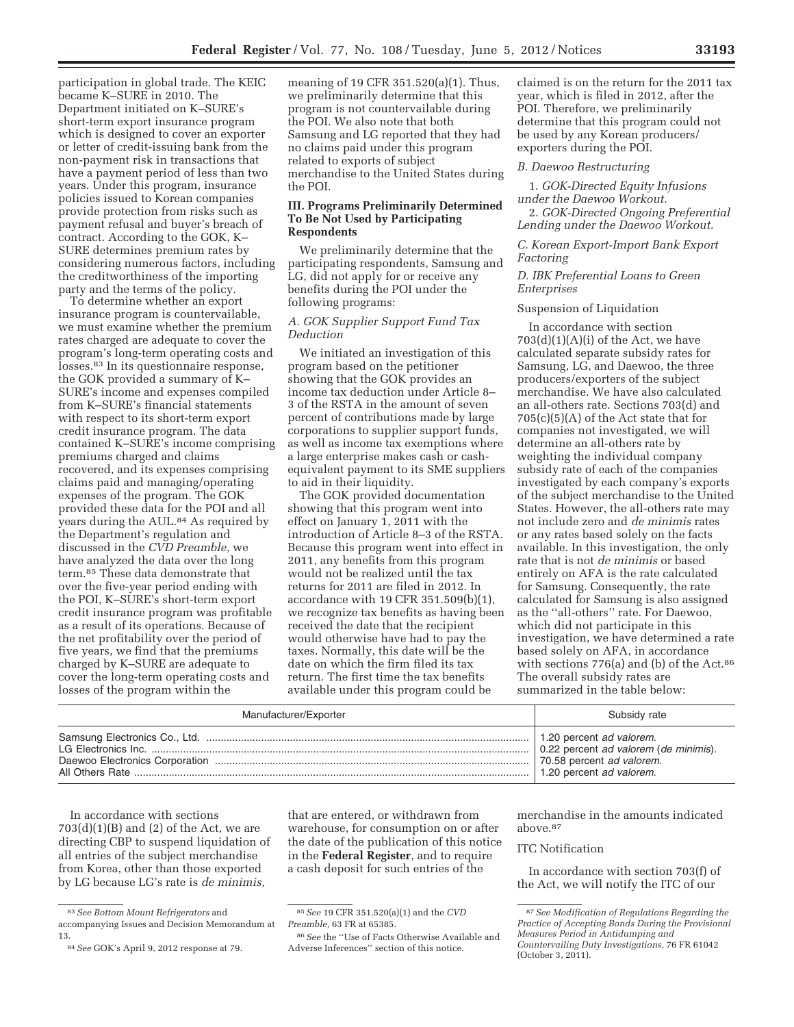participation in global trade. The KEIC became K–SURE in 2010. The Department initiated on K–SURE's short-term export insurance program which is designed to cover an exporter or letter of credit-issuing bank from the non-payment risk in transactions that have a payment period of less than two years. Under this program, insurance policies issued to Korean companies provide protection from risks such as payment refusal and buyer's breach of contract. According to the GOK, K– SURE determines premium rates by considering numerous factors, including the creditworthiness of the importing party and the terms of the policy.

To determine whether an export insurance program is countervailable, we must examine whether the premium rates charged are adequate to cover the program's long-term operating costs and losses.83 In its questionnaire response, the GOK provided a summary of K– SURE's income and expenses compiled from K–SURE's financial statements with respect to its short-term export credit insurance program. The data contained K–SURE's income comprising premiums charged and claims recovered, and its expenses comprising claims paid and managing/operating expenses of the program. The GOK provided these data for the POI and all years during the AUL.<sup>84</sup> As required by the Department's regulation and discussed in the *CVD Preamble,* we have analyzed the data over the long term.85 These data demonstrate that over the five-year period ending with the POI, K–SURE's short-term export credit insurance program was profitable as a result of its operations. Because of the net profitability over the period of five years, we find that the premiums charged by K–SURE are adequate to cover the long-term operating costs and losses of the program within the

meaning of 19 CFR 351.520(a)(1). Thus, we preliminarily determine that this program is not countervailable during the POI. We also note that both Samsung and LG reported that they had no claims paid under this program related to exports of subject merchandise to the United States during the POI.

# **III. Programs Preliminarily Determined To Be Not Used by Participating Respondents**

We preliminarily determine that the participating respondents, Samsung and LG, did not apply for or receive any benefits during the POI under the following programs:

### *A. GOK Supplier Support Fund Tax Deduction*

We initiated an investigation of this program based on the petitioner showing that the GOK provides an income tax deduction under Article 8– 3 of the RSTA in the amount of seven percent of contributions made by large corporations to supplier support funds, as well as income tax exemptions where a large enterprise makes cash or cashequivalent payment to its SME suppliers to aid in their liquidity.

The GOK provided documentation showing that this program went into effect on January 1, 2011 with the introduction of Article 8–3 of the RSTA. Because this program went into effect in 2011, any benefits from this program would not be realized until the tax returns for 2011 are filed in 2012. In accordance with 19 CFR 351.509(b)(1), we recognize tax benefits as having been received the date that the recipient would otherwise have had to pay the taxes. Normally, this date will be the date on which the firm filed its tax return. The first time the tax benefits available under this program could be

claimed is on the return for the 2011 tax year, which is filed in 2012, after the POI. Therefore, we preliminarily determine that this program could not be used by any Korean producers/ exporters during the POI.

#### *B. Daewoo Restructuring*

1. *GOK-Directed Equity Infusions under the Daewoo Workout.* 

2. *GOK-Directed Ongoing Preferential Lending under the Daewoo Workout.* 

*C. Korean Export-Import Bank Export Factoring* 

*D. IBK Preferential Loans to Green Enterprises* 

### Suspension of Liquidation

In accordance with section  $703(d)(1)(A)(i)$  of the Act, we have calculated separate subsidy rates for Samsung, LG, and Daewoo, the three producers/exporters of the subject merchandise. We have also calculated an all-others rate. Sections 703(d) and  $705(c)(5)(A)$  of the Act state that for companies not investigated, we will determine an all-others rate by weighting the individual company subsidy rate of each of the companies investigated by each company's exports of the subject merchandise to the United States. However, the all-others rate may not include zero and *de minimis* rates or any rates based solely on the facts available. In this investigation, the only rate that is not *de minimis* or based entirely on AFA is the rate calculated for Samsung. Consequently, the rate calculated for Samsung is also assigned as the ''all-others'' rate. For Daewoo, which did not participate in this investigation, we have determined a rate based solely on AFA, in accordance with sections 776(a) and (b) of the Act.<sup>86</sup> The overall subsidy rates are summarized in the table below:

| Manufacturer/Exporter | Subsidy rate                          |
|-----------------------|---------------------------------------|
|                       | 1.20 percent ad valorem.              |
|                       | 0.22 percent ad valorem (de minimis). |
|                       | 70.58 percent ad valorem.             |
|                       | 1.20 percent ad valorem.              |

In accordance with sections  $703(d)(1)(B)$  and  $(2)$  of the Act, we are directing CBP to suspend liquidation of all entries of the subject merchandise from Korea, other than those exported by LG because LG's rate is *de minimis,* 

that are entered, or withdrawn from warehouse, for consumption on or after the date of the publication of this notice in the **Federal Register**, and to require a cash deposit for such entries of the

merchandise in the amounts indicated above.87

#### ITC Notification

In accordance with section 703(f) of the Act, we will notify the ITC of our

<sup>83</sup>*See Bottom Mount Refrigerators* and accompanying Issues and Decision Memorandum at 13.

<sup>84</sup>*See* GOK's April 9, 2012 response at 79.

<sup>85</sup>*See* 19 CFR 351.520(a)(1) and the *CVD Preamble,* 63 FR at 65385.

<sup>86</sup>*See* the ''Use of Facts Otherwise Available and Adverse Inferences'' section of this notice.

<sup>87</sup>*See Modification of Regulations Regarding the Practice of Accepting Bonds During the Provisional Measures Period in Antidumping and Countervailing Duty Investigations,* 76 FR 61042 (October 3, 2011).